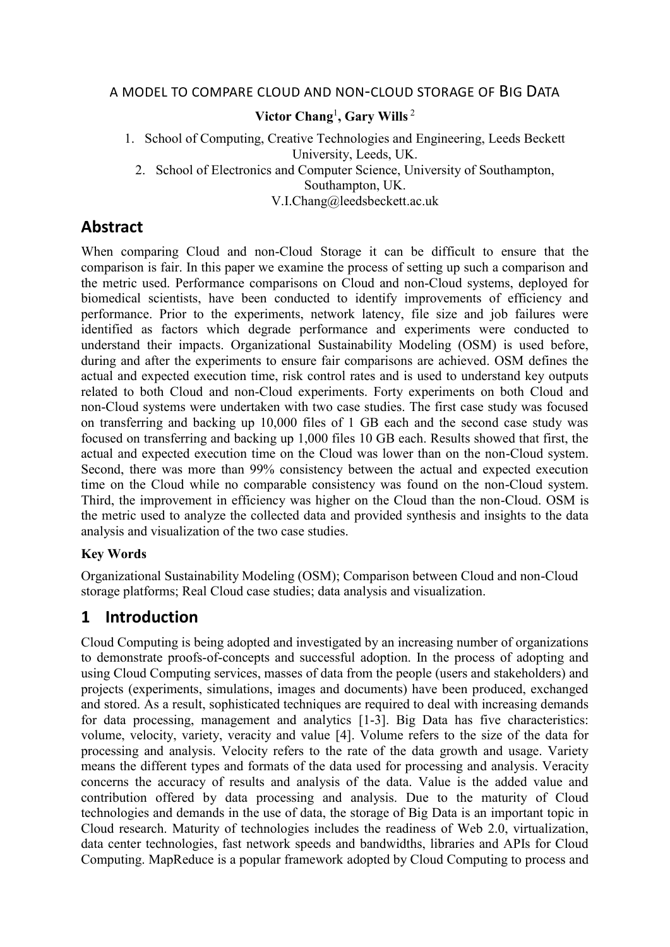#### A MODEL TO COMPARE CLOUD AND NON-CLOUD STORAGE OF BIG DATA

## **Victor Chang**<sup>1</sup> **, Gary Wills**<sup>2</sup>

1. School of Computing, Creative Technologies and Engineering, Leeds Beckett University, Leeds, UK.

2. School of Electronics and Computer Science, University of Southampton,

Southampton, UK.

V.I.Chang@leedsbeckett.ac.uk

## **Abstract**

When comparing Cloud and non-Cloud Storage it can be difficult to ensure that the comparison is fair. In this paper we examine the process of setting up such a comparison and the metric used. Performance comparisons on Cloud and non-Cloud systems, deployed for biomedical scientists, have been conducted to identify improvements of efficiency and performance. Prior to the experiments, network latency, file size and job failures were identified as factors which degrade performance and experiments were conducted to understand their impacts. Organizational Sustainability Modeling (OSM) is used before, during and after the experiments to ensure fair comparisons are achieved. OSM defines the actual and expected execution time, risk control rates and is used to understand key outputs related to both Cloud and non-Cloud experiments. Forty experiments on both Cloud and non-Cloud systems were undertaken with two case studies. The first case study was focused on transferring and backing up 10,000 files of 1 GB each and the second case study was focused on transferring and backing up 1,000 files 10 GB each. Results showed that first, the actual and expected execution time on the Cloud was lower than on the non-Cloud system. Second, there was more than 99% consistency between the actual and expected execution time on the Cloud while no comparable consistency was found on the non-Cloud system. Third, the improvement in efficiency was higher on the Cloud than the non-Cloud. OSM is the metric used to analyze the collected data and provided synthesis and insights to the data analysis and visualization of the two case studies.

### **Key Words**

Organizational Sustainability Modeling (OSM); Comparison between Cloud and non-Cloud storage platforms; Real Cloud case studies; data analysis and visualization.

# **1 Introduction**

Cloud Computing is being adopted and investigated by an increasing number of organizations to demonstrate proofs-of-concepts and successful adoption. In the process of adopting and using Cloud Computing services, masses of data from the people (users and stakeholders) and projects (experiments, simulations, images and documents) have been produced, exchanged and stored. As a result, sophisticated techniques are required to deal with increasing demands for data processing, management and analytics [1-3]. Big Data has five characteristics: volume, velocity, variety, veracity and value [4]. Volume refers to the size of the data for processing and analysis. Velocity refers to the rate of the data growth and usage. Variety means the different types and formats of the data used for processing and analysis. Veracity concerns the accuracy of results and analysis of the data. Value is the added value and contribution offered by data processing and analysis. Due to the maturity of Cloud technologies and demands in the use of data, the storage of Big Data is an important topic in Cloud research. Maturity of technologies includes the readiness of Web 2.0, virtualization, data center technologies, fast network speeds and bandwidths, libraries and APIs for Cloud Computing. MapReduce is a popular framework adopted by Cloud Computing to process and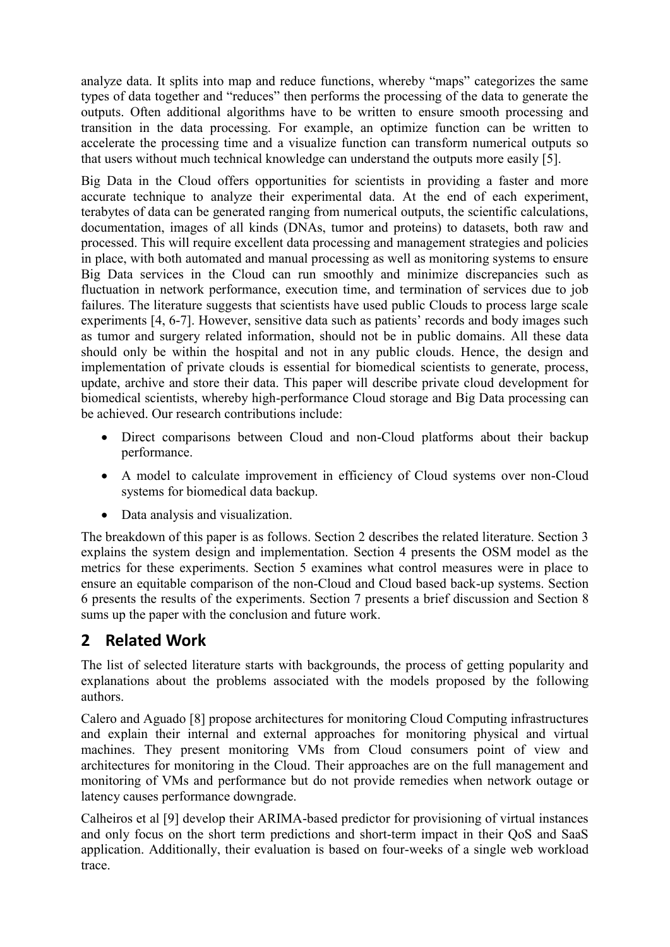analyze data. It splits into map and reduce functions, whereby "maps" categorizes the same types of data together and "reduces" then performs the processing of the data to generate the outputs. Often additional algorithms have to be written to ensure smooth processing and transition in the data processing. For example, an optimize function can be written to accelerate the processing time and a visualize function can transform numerical outputs so that users without much technical knowledge can understand the outputs more easily [5].

Big Data in the Cloud offers opportunities for scientists in providing a faster and more accurate technique to analyze their experimental data. At the end of each experiment, terabytes of data can be generated ranging from numerical outputs, the scientific calculations, documentation, images of all kinds (DNAs, tumor and proteins) to datasets, both raw and processed. This will require excellent data processing and management strategies and policies in place, with both automated and manual processing as well as monitoring systems to ensure Big Data services in the Cloud can run smoothly and minimize discrepancies such as fluctuation in network performance, execution time, and termination of services due to job failures. The literature suggests that scientists have used public Clouds to process large scale experiments [4, 6-7]. However, sensitive data such as patients' records and body images such as tumor and surgery related information, should not be in public domains. All these data should only be within the hospital and not in any public clouds. Hence, the design and implementation of private clouds is essential for biomedical scientists to generate, process, update, archive and store their data. This paper will describe private cloud development for biomedical scientists, whereby high-performance Cloud storage and Big Data processing can be achieved. Our research contributions include:

- Direct comparisons between Cloud and non-Cloud platforms about their backup performance.
- A model to calculate improvement in efficiency of Cloud systems over non-Cloud systems for biomedical data backup.
- Data analysis and visualization.

The breakdown of this paper is as follows. Section 2 describes the related literature. Section 3 explains the system design and implementation. Section 4 presents the OSM model as the metrics for these experiments. Section 5 examines what control measures were in place to ensure an equitable comparison of the non-Cloud and Cloud based back-up systems. Section 6 presents the results of the experiments. Section 7 presents a brief discussion and Section 8 sums up the paper with the conclusion and future work.

# **2 Related Work**

The list of selected literature starts with backgrounds, the process of getting popularity and explanations about the problems associated with the models proposed by the following authors.

Calero and Aguado [8] propose architectures for monitoring Cloud Computing infrastructures and explain their internal and external approaches for monitoring physical and virtual machines. They present monitoring VMs from Cloud consumers point of view and architectures for monitoring in the Cloud. Their approaches are on the full management and monitoring of VMs and performance but do not provide remedies when network outage or latency causes performance downgrade.

Calheiros et al [9] develop their ARIMA-based predictor for provisioning of virtual instances and only focus on the short term predictions and short-term impact in their QoS and SaaS application. Additionally, their evaluation is based on four-weeks of a single web workload trace.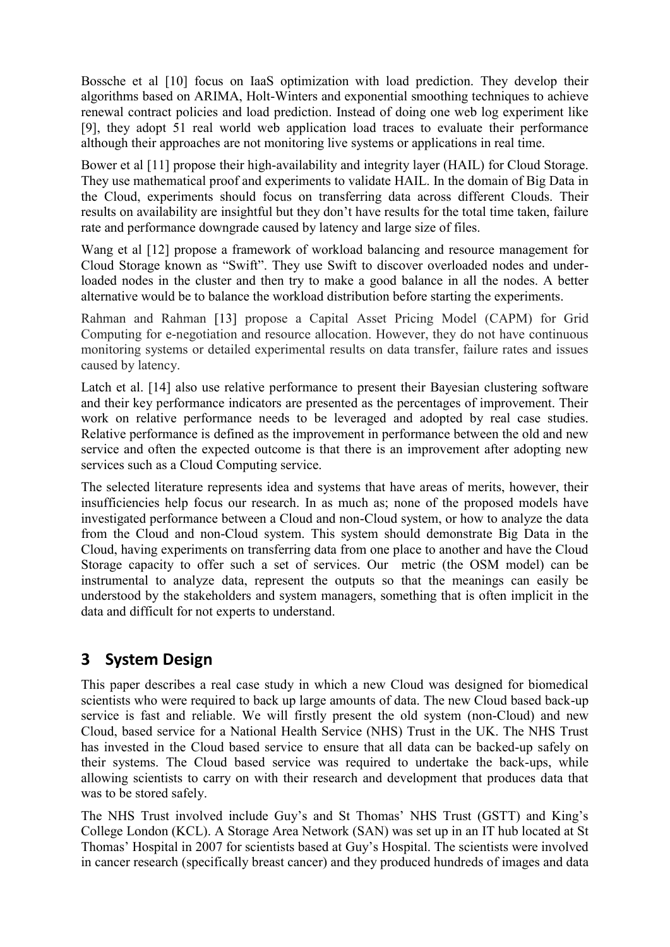Bossche et al [10] focus on IaaS optimization with load prediction. They develop their algorithms based on ARIMA, Holt-Winters and exponential smoothing techniques to achieve renewal contract policies and load prediction. Instead of doing one web log experiment like [9], they adopt 51 real world web application load traces to evaluate their performance although their approaches are not monitoring live systems or applications in real time.

Bower et al [11] propose their high-availability and integrity layer (HAIL) for Cloud Storage. They use mathematical proof and experiments to validate HAIL. In the domain of Big Data in the Cloud, experiments should focus on transferring data across different Clouds. Their results on availability are insightful but they don't have results for the total time taken, failure rate and performance downgrade caused by latency and large size of files.

Wang et al [12] propose a framework of workload balancing and resource management for Cloud Storage known as "Swift". They use Swift to discover overloaded nodes and underloaded nodes in the cluster and then try to make a good balance in all the nodes. A better alternative would be to balance the workload distribution before starting the experiments.

Rahman and Rahman [13] propose a Capital Asset Pricing Model (CAPM) for Grid Computing for e-negotiation and resource allocation. However, they do not have continuous monitoring systems or detailed experimental results on data transfer, failure rates and issues caused by latency.

Latch et al. [14] also use relative performance to present their Bayesian clustering software and their key performance indicators are presented as the percentages of improvement. Their work on relative performance needs to be leveraged and adopted by real case studies. Relative performance is defined as the improvement in performance between the old and new service and often the expected outcome is that there is an improvement after adopting new services such as a Cloud Computing service.

The selected literature represents idea and systems that have areas of merits, however, their insufficiencies help focus our research. In as much as; none of the proposed models have investigated performance between a Cloud and non-Cloud system, or how to analyze the data from the Cloud and non-Cloud system. This system should demonstrate Big Data in the Cloud, having experiments on transferring data from one place to another and have the Cloud Storage capacity to offer such a set of services. Our metric (the OSM model) can be instrumental to analyze data, represent the outputs so that the meanings can easily be understood by the stakeholders and system managers, something that is often implicit in the data and difficult for not experts to understand.

# **3 System Design**

This paper describes a real case study in which a new Cloud was designed for biomedical scientists who were required to back up large amounts of data. The new Cloud based back-up service is fast and reliable. We will firstly present the old system (non-Cloud) and new Cloud, based service for a National Health Service (NHS) Trust in the UK. The NHS Trust has invested in the Cloud based service to ensure that all data can be backed-up safely on their systems. The Cloud based service was required to undertake the back-ups, while allowing scientists to carry on with their research and development that produces data that was to be stored safely.

The NHS Trust involved include Guy's and St Thomas' NHS Trust (GSTT) and King's College London (KCL). A Storage Area Network (SAN) was set up in an IT hub located at St Thomas' Hospital in 2007 for scientists based at Guy's Hospital. The scientists were involved in cancer research (specifically breast cancer) and they produced hundreds of images and data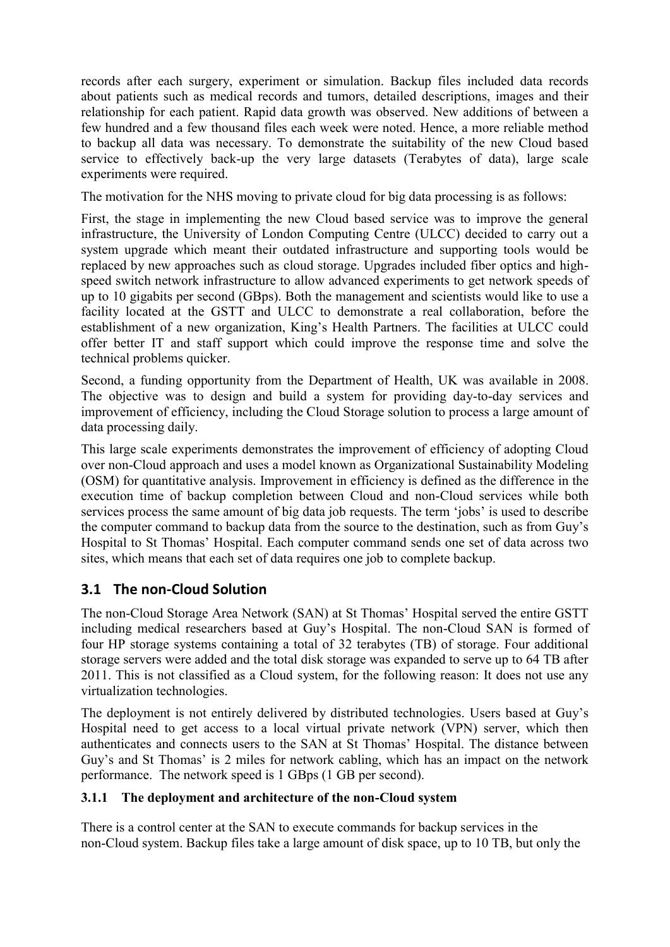records after each surgery, experiment or simulation. Backup files included data records about patients such as medical records and tumors, detailed descriptions, images and their relationship for each patient. Rapid data growth was observed. New additions of between a few hundred and a few thousand files each week were noted. Hence, a more reliable method to backup all data was necessary. To demonstrate the suitability of the new Cloud based service to effectively back-up the very large datasets (Terabytes of data), large scale experiments were required.

The motivation for the NHS moving to private cloud for big data processing is as follows:

First, the stage in implementing the new Cloud based service was to improve the general infrastructure, the University of London Computing Centre (ULCC) decided to carry out a system upgrade which meant their outdated infrastructure and supporting tools would be replaced by new approaches such as cloud storage. Upgrades included fiber optics and highspeed switch network infrastructure to allow advanced experiments to get network speeds of up to 10 gigabits per second (GBps). Both the management and scientists would like to use a facility located at the GSTT and ULCC to demonstrate a real collaboration, before the establishment of a new organization, King's Health Partners. The facilities at ULCC could offer better IT and staff support which could improve the response time and solve the technical problems quicker.

Second, a funding opportunity from the Department of Health, UK was available in 2008. The objective was to design and build a system for providing day-to-day services and improvement of efficiency, including the Cloud Storage solution to process a large amount of data processing daily.

This large scale experiments demonstrates the improvement of efficiency of adopting Cloud over non-Cloud approach and uses a model known as Organizational Sustainability Modeling (OSM) for quantitative analysis. Improvement in efficiency is defined as the difference in the execution time of backup completion between Cloud and non-Cloud services while both services process the same amount of big data job requests. The term 'jobs' is used to describe the computer command to backup data from the source to the destination, such as from Guy's Hospital to St Thomas' Hospital. Each computer command sends one set of data across two sites, which means that each set of data requires one job to complete backup.

## <span id="page-3-0"></span>**3.1 The non-Cloud Solution**

The non-Cloud Storage Area Network (SAN) at St Thomas' Hospital served the entire GSTT including medical researchers based at Guy's Hospital. The non-Cloud SAN is formed of four HP storage systems containing a total of 32 terabytes (TB) of storage. Four additional storage servers were added and the total disk storage was expanded to serve up to 64 TB after 2011. This is not classified as a Cloud system, for the following reason: It does not use any virtualization technologies.

The deployment is not entirely delivered by distributed technologies. Users based at Guy's Hospital need to get access to a local virtual private network (VPN) server, which then authenticates and connects users to the SAN at St Thomas' Hospital. The distance between Guy's and St Thomas' is 2 miles for network cabling, which has an impact on the network performance. The network speed is 1 GBps (1 GB per second).

#### **3.1.1 The deployment and architecture of the non-Cloud system**

There is a control center at the SAN to execute commands for backup services in the non-Cloud system. Backup files take a large amount of disk space, up to 10 TB, but only the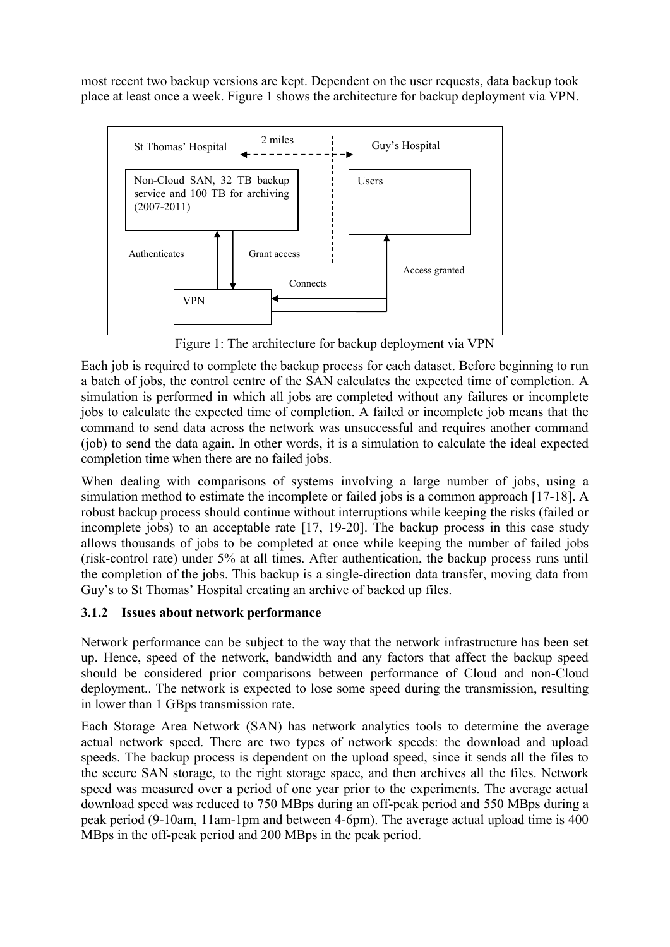most recent two backup versions are kept. Dependent on the user requests, data backup took place at least once a week. [Figure 1](#page-4-0) shows the architecture for backup deployment via VPN.



Figure 1: The architecture for backup deployment via VPN

<span id="page-4-0"></span>Each job is required to complete the backup process for each dataset. Before beginning to run a batch of jobs, the control centre of the SAN calculates the expected time of completion. A simulation is performed in which all jobs are completed without any failures or incomplete jobs to calculate the expected time of completion. A failed or incomplete job means that the command to send data across the network was unsuccessful and requires another command (job) to send the data again. In other words, it is a simulation to calculate the ideal expected completion time when there are no failed jobs.

When dealing with comparisons of systems involving a large number of jobs, using a simulation method to estimate the incomplete or failed jobs is a common approach [17-18]. A robust backup process should continue without interruptions while keeping the risks (failed or incomplete jobs) to an acceptable rate [17, 19-20]. The backup process in this case study allows thousands of jobs to be completed at once while keeping the number of failed jobs (risk-control rate) under 5% at all times. After authentication, the backup process runs until the completion of the jobs. This backup is a single-direction data transfer, moving data from Guy's to St Thomas' Hospital creating an archive of backed up files.

### **3.1.2 Issues about network performance**

Network performance can be subject to the way that the network infrastructure has been set up. Hence, speed of the network, bandwidth and any factors that affect the backup speed should be considered prior comparisons between performance of Cloud and non-Cloud deployment.. The network is expected to lose some speed during the transmission, resulting in lower than 1 GBps transmission rate.

Each Storage Area Network (SAN) has network analytics tools to determine the average actual network speed. There are two types of network speeds: the download and upload speeds. The backup process is dependent on the upload speed, since it sends all the files to the secure SAN storage, to the right storage space, and then archives all the files. Network speed was measured over a period of one year prior to the experiments. The average actual download speed was reduced to 750 MBps during an off-peak period and 550 MBps during a peak period (9-10am, 11am-1pm and between 4-6pm). The average actual upload time is 400 MBps in the off-peak period and 200 MBps in the peak period.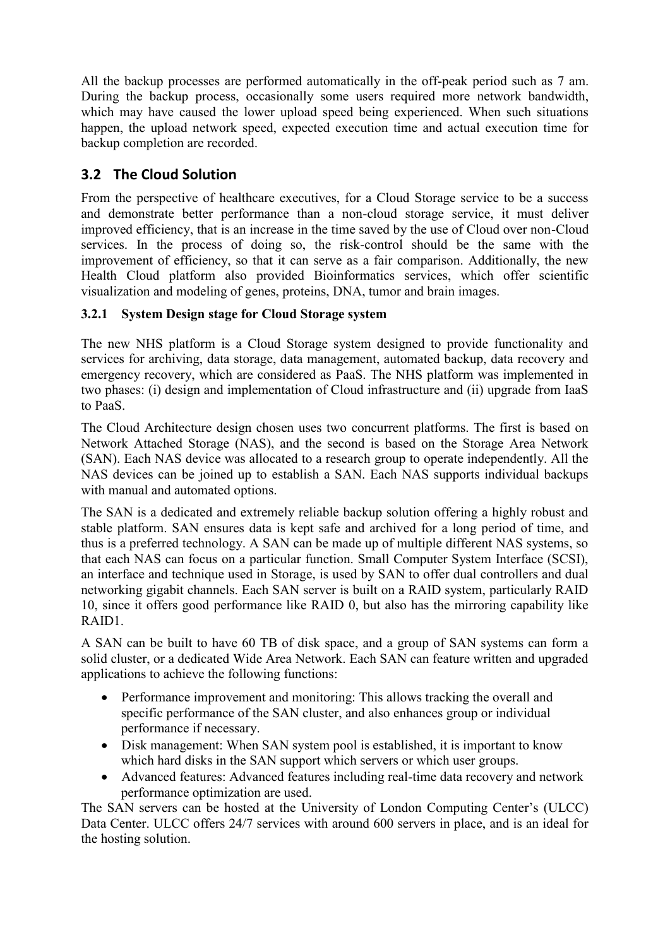All the backup processes are performed automatically in the off-peak period such as 7 am. During the backup process, occasionally some users required more network bandwidth, which may have caused the lower upload speed being experienced. When such situations happen, the upload network speed, expected execution time and actual execution time for backup completion are recorded.

## <span id="page-5-0"></span>**3.2 The Cloud Solution**

From the perspective of healthcare executives, for a Cloud Storage service to be a success and demonstrate better performance than a non-cloud storage service, it must deliver improved efficiency, that is an increase in the time saved by the use of Cloud over non-Cloud services. In the process of doing so, the risk-control should be the same with the improvement of efficiency, so that it can serve as a fair comparison. Additionally, the new Health Cloud platform also provided Bioinformatics services, which offer scientific visualization and modeling of genes, proteins, DNA, tumor and brain images.

### **3.2.1 System Design stage for Cloud Storage system**

The new NHS platform is a Cloud Storage system designed to provide functionality and services for archiving, data storage, data management, automated backup, data recovery and emergency recovery, which are considered as PaaS. The NHS platform was implemented in two phases: (i) design and implementation of Cloud infrastructure and (ii) upgrade from IaaS to PaaS.

The Cloud Architecture design chosen uses two concurrent platforms. The first is based on Network Attached Storage (NAS), and the second is based on the Storage Area Network (SAN). Each NAS device was allocated to a research group to operate independently. All the NAS devices can be joined up to establish a SAN. Each NAS supports individual backups with manual and automated options.

The SAN is a dedicated and extremely reliable backup solution offering a highly robust and stable platform. SAN ensures data is kept safe and archived for a long period of time, and thus is a preferred technology. A SAN can be made up of multiple different NAS systems, so that each NAS can focus on a particular function. Small Computer System Interface (SCSI), an interface and technique used in Storage, is used by SAN to offer dual controllers and dual networking gigabit channels. Each SAN server is built on a RAID system, particularly RAID 10, since it offers good performance like RAID 0, but also has the mirroring capability like RAID1.

A SAN can be built to have 60 TB of disk space, and a group of SAN systems can form a solid cluster, or a dedicated Wide Area Network. Each SAN can feature written and upgraded applications to achieve the following functions:

- Performance improvement and monitoring: This allows tracking the overall and specific performance of the SAN cluster, and also enhances group or individual performance if necessary.
- Disk management: When SAN system pool is established, it is important to know which hard disks in the SAN support which servers or which user groups.
- Advanced features: Advanced features including real-time data recovery and network performance optimization are used.

The SAN servers can be hosted at the University of London Computing Center's (ULCC) Data Center. ULCC offers 24/7 services with around 600 servers in place, and is an ideal for the hosting solution.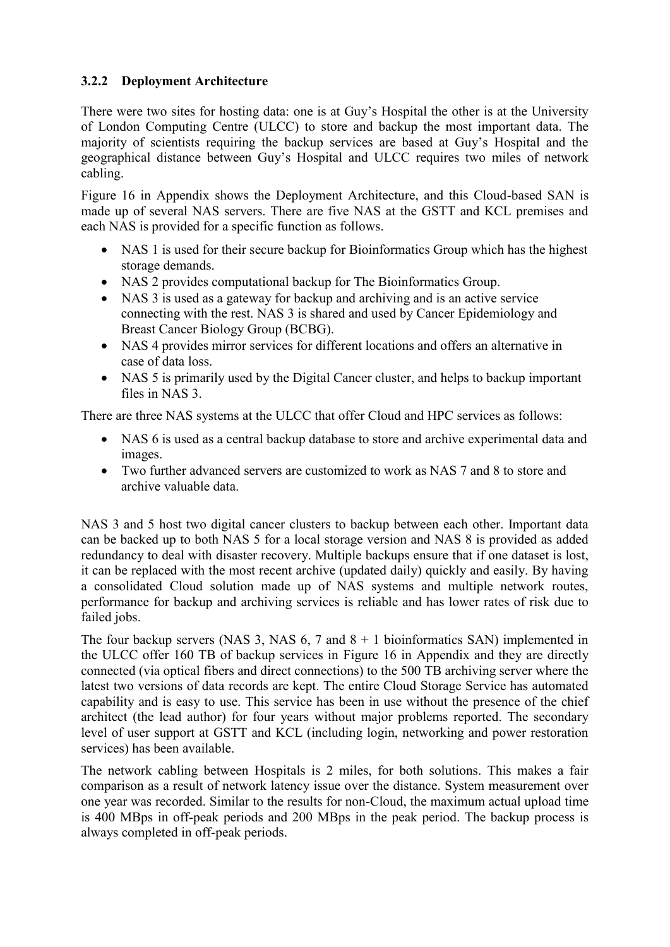### **3.2.2 Deployment Architecture**

There were two sites for hosting data: one is at Guy's Hospital the other is at the University of London Computing Centre (ULCC) to store and backup the most important data. The majority of scientists requiring the backup services are based at Guy's Hospital and the geographical distance between Guy's Hospital and ULCC requires two miles of network cabling.

[Figure 16](#page-37-0) in Appendix shows the Deployment Architecture, and this Cloud-based SAN is made up of several NAS servers. There are five NAS at the GSTT and KCL premises and each NAS is provided for a specific function as follows.

- NAS 1 is used for their secure backup for Bioinformatics Group which has the highest storage demands.
- NAS 2 provides computational backup for The Bioinformatics Group.
- NAS 3 is used as a gateway for backup and archiving and is an active service connecting with the rest. NAS 3 is shared and used by Cancer Epidemiology and Breast Cancer Biology Group (BCBG).
- NAS 4 provides mirror services for different locations and offers an alternative in case of data loss.
- NAS 5 is primarily used by the Digital Cancer cluster, and helps to backup important files in NAS 3.

There are three NAS systems at the ULCC that offer Cloud and HPC services as follows:

- NAS 6 is used as a central backup database to store and archive experimental data and images.
- Two further advanced servers are customized to work as NAS 7 and 8 to store and archive valuable data.

NAS 3 and 5 host two digital cancer clusters to backup between each other. Important data can be backed up to both NAS 5 for a local storage version and NAS 8 is provided as added redundancy to deal with disaster recovery. Multiple backups ensure that if one dataset is lost, it can be replaced with the most recent archive (updated daily) quickly and easily. By having a consolidated Cloud solution made up of NAS systems and multiple network routes, performance for backup and archiving services is reliable and has lower rates of risk due to failed jobs.

The four backup servers (NAS 3, NAS  $6$ , 7 and  $8 + 1$  bioinformatics SAN) implemented in the ULCC offer 160 TB of backup services in [Figure 16](#page-37-0) in Appendix and they are directly connected (via optical fibers and direct connections) to the 500 TB archiving server where the latest two versions of data records are kept. The entire Cloud Storage Service has automated capability and is easy to use. This service has been in use without the presence of the chief architect (the lead author) for four years without major problems reported. The secondary level of user support at GSTT and KCL (including login, networking and power restoration services) has been available.

The network cabling between Hospitals is 2 miles, for both solutions. This makes a fair comparison as a result of network latency issue over the distance. System measurement over one year was recorded. Similar to the results for non-Cloud, the maximum actual upload time is 400 MBps in off-peak periods and 200 MBps in the peak period. The backup process is always completed in off-peak periods.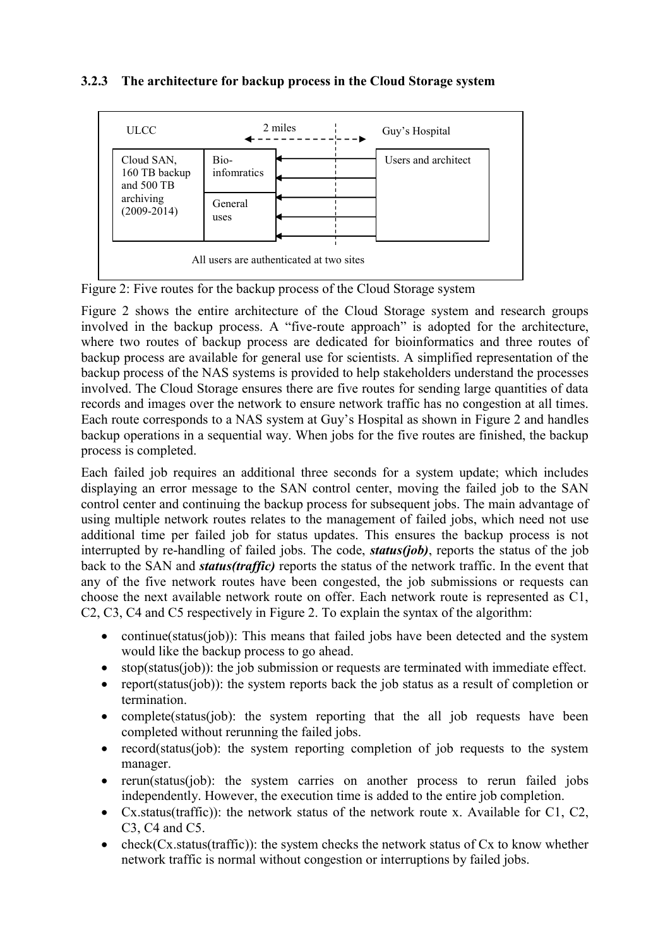### **3.2.3 The architecture for backup process in the Cloud Storage system**



<span id="page-7-0"></span>Figure 2: Five routes for the backup process of the Cloud Storage system

[Figure 2](#page-7-0) shows the entire architecture of the Cloud Storage system and research groups involved in the backup process. A "five-route approach" is adopted for the architecture, where two routes of backup process are dedicated for bioinformatics and three routes of backup process are available for general use for scientists. A simplified representation of the backup process of the NAS systems is provided to help stakeholders understand the processes involved. The Cloud Storage ensures there are five routes for sending large quantities of data records and images over the network to ensure network traffic has no congestion at all times. Each route corresponds to a NAS system at Guy's Hospital as shown in [Figure 2](#page-7-0) and handles backup operations in a sequential way. When jobs for the five routes are finished, the backup process is completed.

Each failed job requires an additional three seconds for a system update; which includes displaying an error message to the SAN control center, moving the failed job to the SAN control center and continuing the backup process for subsequent jobs. The main advantage of using multiple network routes relates to the management of failed jobs, which need not use additional time per failed job for status updates. This ensures the backup process is not interrupted by re-handling of failed jobs. The code, *status(job)*, reports the status of the job back to the SAN and *status(traffic)* reports the status of the network traffic. In the event that any of the five network routes have been congested, the job submissions or requests can choose the next available network route on offer. Each network route is represented as C1, C2, C3, C4 and C5 respectively in [Figure 2.](#page-7-0) To explain the syntax of the algorithm:

- continue(status(job)): This means that failed jobs have been detected and the system would like the backup process to go ahead.
- stop(status(job)): the job submission or requests are terminated with immediate effect.
- report(status(job)): the system reports back the job status as a result of completion or termination.
- complete(status(job): the system reporting that the all job requests have been completed without rerunning the failed jobs.
- record(status(job): the system reporting completion of job requests to the system manager.
- rerun(status(job): the system carries on another process to rerun failed jobs independently. However, the execution time is added to the entire job completion.
- Cx.status(traffic)): the network status of the network route x. Available for C1, C2, C3, C4 and C5.
- check( $Cx$ .status(traffic)): the system checks the network status of  $Cx$  to know whether network traffic is normal without congestion or interruptions by failed jobs.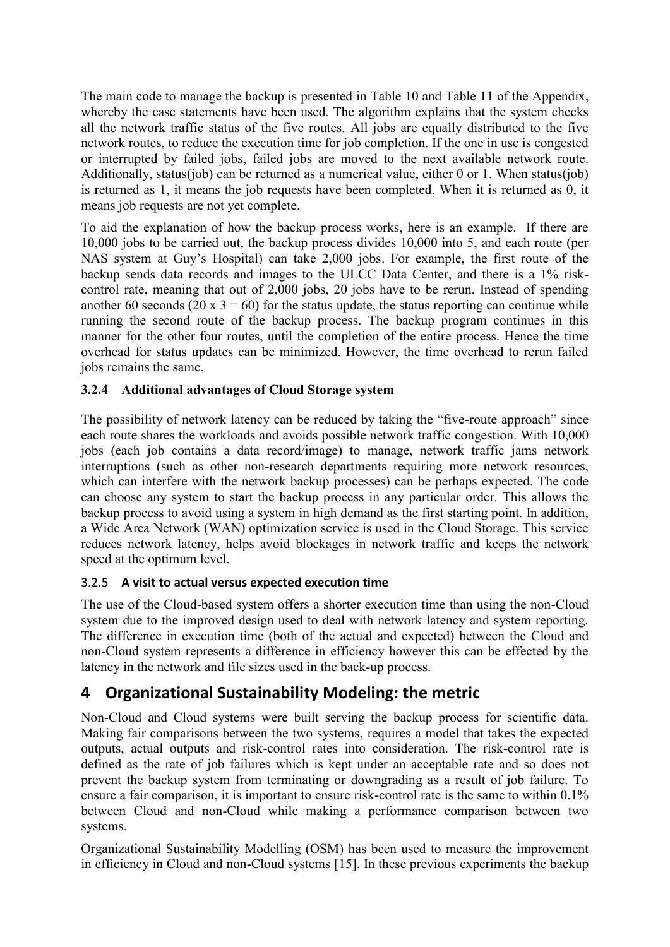The main code to manage the backup is presented in [Table 10](#page-35-0) and [Table 11](#page-36-0) of the Appendix, whereby the case statements have been used. The algorithm explains that the system checks all the network traffic status of the five routes. All jobs are equally distributed to the five network routes, to reduce the execution time for job completion. If the one in use is congested or interrupted by failed jobs, failed jobs are moved to the next available network route. Additionally, status(job) can be returned as a numerical value, either 0 or 1. When status(job) is returned as 1, it means the job requests have been completed. When it is returned as 0, it means job requests are not yet complete.

To aid the explanation of how the backup process works, here is an example. If there are 10,000 jobs to be carried out, the backup process divides 10,000 into 5, and each route (per NAS system at Guy's Hospital) can take 2,000 jobs. For example, the first route of the backup sends data records and images to the ULCC Data Center, and there is a 1% riskcontrol rate, meaning that out of 2,000 jobs, 20 jobs have to be rerun. Instead of spending another 60 seconds (20 x  $3 = 60$ ) for the status update, the status reporting can continue while running the second route of the backup process. The backup program continues in this manner for the other four routes, until the completion of the entire process. Hence the time overhead for status updates can be minimized. However, the time overhead to rerun failed jobs remains the same.

### **3.2.4 Additional advantages of Cloud Storage system**

The possibility of network latency can be reduced by taking the "five-route approach" since each route shares the workloads and avoids possible network traffic congestion. With 10,000 jobs (each job contains a data record/image) to manage, network traffic jams network interruptions (such as other non-research departments requiring more network resources, which can interfere with the network backup processes) can be perhaps expected. The code can choose any system to start the backup process in any particular order. This allows the backup process to avoid using a system in high demand as the first starting point. In addition, a Wide Area Network (WAN) optimization service is used in the Cloud Storage. This service reduces network latency, helps avoid blockages in network traffic and keeps the network speed at the optimum level.

#### 3.2.5 **A visit to actual versus expected execution time**

The use of the Cloud-based system offers a shorter execution time than using the non-Cloud system due to the improved design used to deal with network latency and system reporting. The difference in execution time (both of the actual and expected) between the Cloud and non-Cloud system represents a difference in efficiency however this can be effected by the latency in the network and file sizes used in the back-up process.

# <span id="page-8-0"></span>**4 Organizational Sustainability Modeling: the metric**

Non-Cloud and Cloud systems were built serving the backup process for scientific data. Making fair comparisons between the two systems, requires a model that takes the expected outputs, actual outputs and risk-control rates into consideration. The risk-control rate is defined as the rate of job failures which is kept under an acceptable rate and so does not prevent the backup system from terminating or downgrading as a result of job failure. To ensure a fair comparison, it is important to ensure risk-control rate is the same to within 0.1% between Cloud and non-Cloud while making a performance comparison between two systems.

Organizational Sustainability Modelling (OSM) has been used to measure the improvement in efficiency in Cloud and non-Cloud systems [15]. In these previous experiments the backup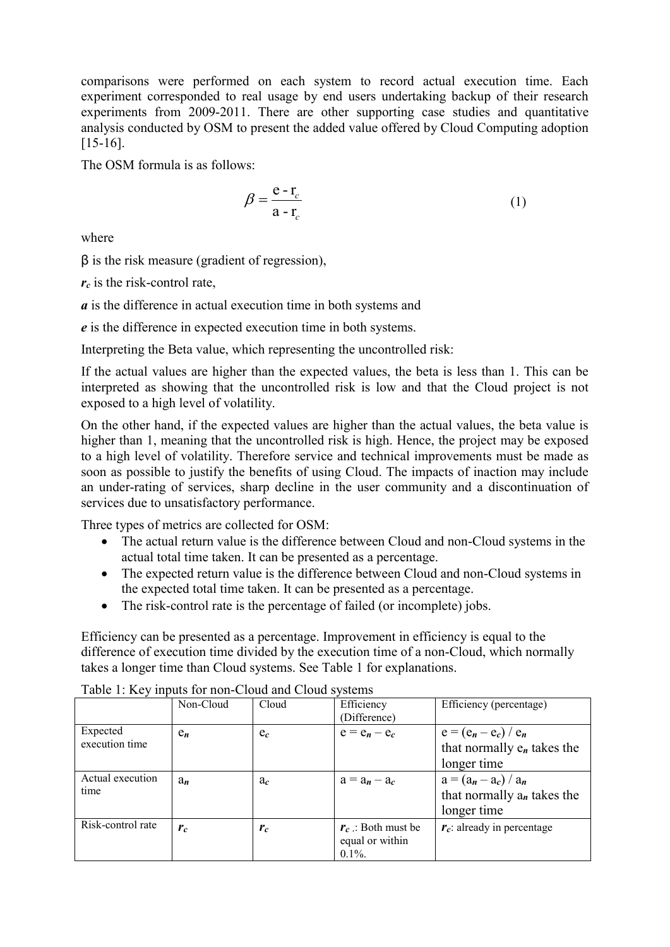comparisons were performed on each system to record actual execution time. Each experiment corresponded to real usage by end users undertaking backup of their research experiments from 2009-2011. There are other supporting case studies and quantitative analysis conducted by OSM to present the added value offered by Cloud Computing adoption [15-16].

The OSM formula is as follows:

$$
\beta = \frac{e - r_c}{a - r_c} \tag{1}
$$

where

β is the risk measure (gradient of regression),

*rc* is the risk-control rate,

*a* is the difference in actual execution time in both systems and

*e* is the difference in expected execution time in both systems.

Interpreting the Beta value, which representing the uncontrolled risk:

If the actual values are higher than the expected values, the beta is less than 1. This can be interpreted as showing that the uncontrolled risk is low and that the Cloud project is not exposed to a high level of volatility.

On the other hand, if the expected values are higher than the actual values, the beta value is higher than 1, meaning that the uncontrolled risk is high. Hence, the project may be exposed to a high level of volatility. Therefore service and technical improvements must be made as soon as possible to justify the benefits of using Cloud. The impacts of inaction may include an under-rating of services, sharp decline in the user community and a discontinuation of services due to unsatisfactory performance.

Three types of metrics are collected for OSM:

- The actual return value is the difference between Cloud and non-Cloud systems in the actual total time taken. It can be presented as a percentage.
- The expected return value is the difference between Cloud and non-Cloud systems in the expected total time taken. It can be presented as a percentage.
- The risk-control rate is the percentage of failed (or incomplete) jobs.

Efficiency can be presented as a percentage. Improvement in efficiency is equal to the difference of execution time divided by the execution time of a non-Cloud, which normally takes a longer time than Cloud systems. See [Table 1](#page-9-0) for explanations.

|                            | Non-Cloud | Cloud | Efficiency<br>(Difference)                           | Efficiency (percentage)                                                 |
|----------------------------|-----------|-------|------------------------------------------------------|-------------------------------------------------------------------------|
| Expected<br>execution time | $e_n$     | $e_c$ | $e = e_n - e_c$                                      | $e = (e_n - e_c) / e_n$<br>that normally $e_n$ takes the<br>longer time |
| Actual execution<br>time   | $a_n$     | $a_c$ | $a = a_n - a_c$                                      | $a = (a_n - a_c) / a_n$<br>that normally $a_n$ takes the<br>longer time |
| Risk-control rate          | $r_c$     | $r_c$ | $r_c$ : Both must be<br>equal or within<br>$0.1\%$ . | $r_c$ : already in percentage                                           |

<span id="page-9-0"></span>Table 1: Key inputs for non-Cloud and Cloud systems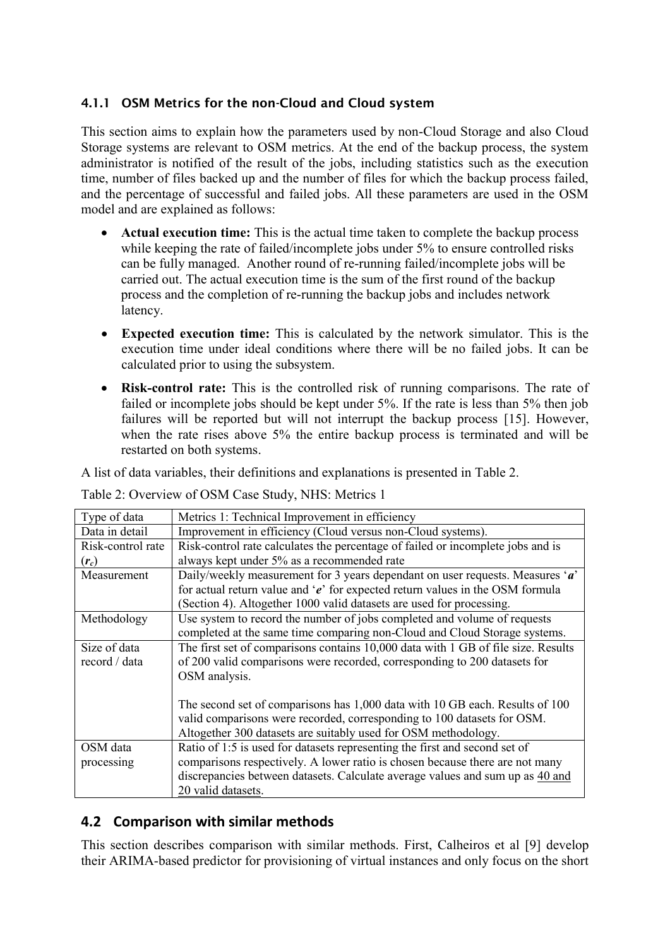### **4.1.1 OSM Metrics for the non-Cloud and Cloud system**

This section aims to explain how the parameters used by non-Cloud Storage and also Cloud Storage systems are relevant to OSM metrics. At the end of the backup process, the system administrator is notified of the result of the jobs, including statistics such as the execution time, number of files backed up and the number of files for which the backup process failed, and the percentage of successful and failed jobs. All these parameters are used in the OSM model and are explained as follows:

- **Actual execution time:** This is the actual time taken to complete the backup process while keeping the rate of failed/incomplete jobs under 5% to ensure controlled risks can be fully managed. Another round of re-running failed/incomplete jobs will be carried out. The actual execution time is the sum of the first round of the backup process and the completion of re-running the backup jobs and includes network latency.
- **Expected execution time:** This is calculated by the network simulator. This is the execution time under ideal conditions where there will be no failed jobs. It can be calculated prior to using the subsystem.
- **Risk-control rate:** This is the controlled risk of running comparisons. The rate of failed or incomplete jobs should be kept under 5%. If the rate is less than 5% then job failures will be reported but will not interrupt the backup process [15]. However, when the rate rises above 5% the entire backup process is terminated and will be restarted on both systems.

A list of data variables, their definitions and explanations is presented in [Table 2.](#page-10-0)

<span id="page-10-0"></span>Table 2: Overview of OSM Case Study, NHS: Metrics 1

| Type of data      | Metrics 1: Technical Improvement in efficiency                                    |
|-------------------|-----------------------------------------------------------------------------------|
| Data in detail    | Improvement in efficiency (Cloud versus non-Cloud systems).                       |
| Risk-control rate | Risk-control rate calculates the percentage of failed or incomplete jobs and is   |
| $(r_c)$           | always kept under 5% as a recommended rate                                        |
| Measurement       | Daily/weekly measurement for 3 years dependant on user requests. Measures 'a'     |
|                   | for actual return value and ' $e$ ' for expected return values in the OSM formula |
|                   | (Section 4). Altogether 1000 valid datasets are used for processing.              |
| Methodology       | Use system to record the number of jobs completed and volume of requests          |
|                   | completed at the same time comparing non-Cloud and Cloud Storage systems.         |
| Size of data      | The first set of comparisons contains 10,000 data with 1 GB of file size. Results |
| record / data     | of 200 valid comparisons were recorded, corresponding to 200 datasets for         |
|                   | OSM analysis.                                                                     |
|                   |                                                                                   |
|                   | The second set of comparisons has 1,000 data with 10 GB each. Results of 100      |
|                   | valid comparisons were recorded, corresponding to 100 datasets for OSM.           |
|                   | Altogether 300 datasets are suitably used for OSM methodology.                    |
| OSM data          | Ratio of 1:5 is used for datasets representing the first and second set of        |
| processing        | comparisons respectively. A lower ratio is chosen because there are not many      |
|                   | discrepancies between datasets. Calculate average values and sum up as 40 and     |
|                   | 20 valid datasets.                                                                |

## **4.2 Comparison with similar methods**

This section describes comparison with similar methods. First, Calheiros et al [9] develop their ARIMA-based predictor for provisioning of virtual instances and only focus on the short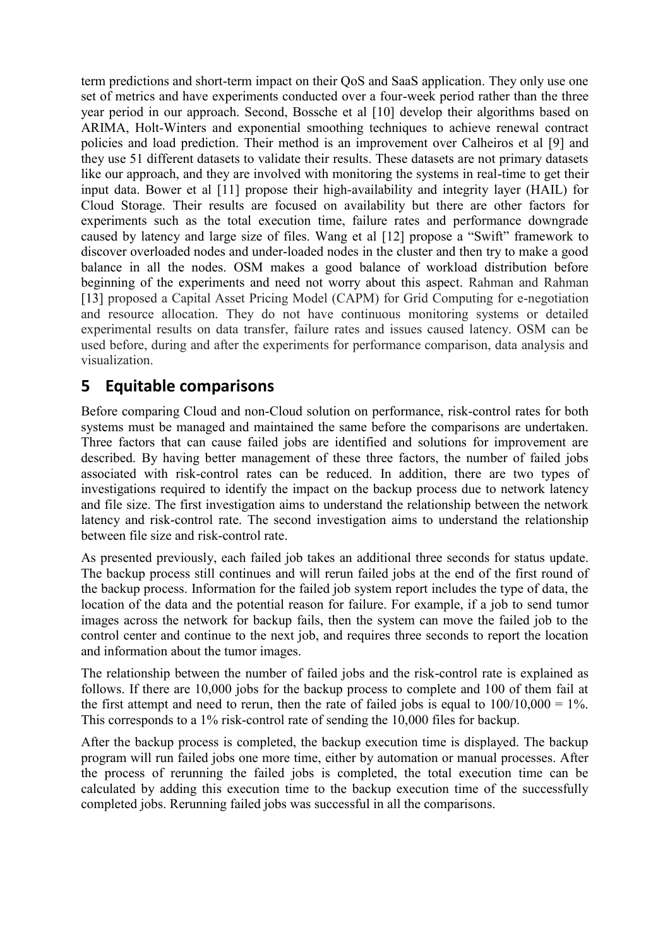term predictions and short-term impact on their QoS and SaaS application. They only use one set of metrics and have experiments conducted over a four-week period rather than the three year period in our approach. Second, Bossche et al [10] develop their algorithms based on ARIMA, Holt-Winters and exponential smoothing techniques to achieve renewal contract policies and load prediction. Their method is an improvement over Calheiros et al [9] and they use 51 different datasets to validate their results. These datasets are not primary datasets like our approach, and they are involved with monitoring the systems in real-time to get their input data. Bower et al [11] propose their high-availability and integrity layer (HAIL) for Cloud Storage. Their results are focused on availability but there are other factors for experiments such as the total execution time, failure rates and performance downgrade caused by latency and large size of files. Wang et al [12] propose a "Swift" framework to discover overloaded nodes and under-loaded nodes in the cluster and then try to make a good balance in all the nodes. OSM makes a good balance of workload distribution before beginning of the experiments and need not worry about this aspect. Rahman and Rahman [13] proposed a Capital Asset Pricing Model (CAPM) for Grid Computing for e-negotiation and resource allocation. They do not have continuous monitoring systems or detailed experimental results on data transfer, failure rates and issues caused latency. OSM can be used before, during and after the experiments for performance comparison, data analysis and visualization.

# **5 Equitable comparisons**

Before comparing Cloud and non-Cloud solution on performance, risk-control rates for both systems must be managed and maintained the same before the comparisons are undertaken. Three factors that can cause failed jobs are identified and solutions for improvement are described. By having better management of these three factors, the number of failed jobs associated with risk-control rates can be reduced. In addition, there are two types of investigations required to identify the impact on the backup process due to network latency and file size. The first investigation aims to understand the relationship between the network latency and risk-control rate. The second investigation aims to understand the relationship between file size and risk-control rate.

As presented previously, each failed job takes an additional three seconds for status update. The backup process still continues and will rerun failed jobs at the end of the first round of the backup process. Information for the failed job system report includes the type of data, the location of the data and the potential reason for failure. For example, if a job to send tumor images across the network for backup fails, then the system can move the failed job to the control center and continue to the next job, and requires three seconds to report the location and information about the tumor images.

The relationship between the number of failed jobs and the risk-control rate is explained as follows. If there are 10,000 jobs for the backup process to complete and 100 of them fail at the first attempt and need to rerun, then the rate of failed jobs is equal to  $100/10,000 = 1\%$ . This corresponds to a 1% risk-control rate of sending the 10,000 files for backup.

After the backup process is completed, the backup execution time is displayed. The backup program will run failed jobs one more time, either by automation or manual processes. After the process of rerunning the failed jobs is completed, the total execution time can be calculated by adding this execution time to the backup execution time of the successfully completed jobs. Rerunning failed jobs was successful in all the comparisons.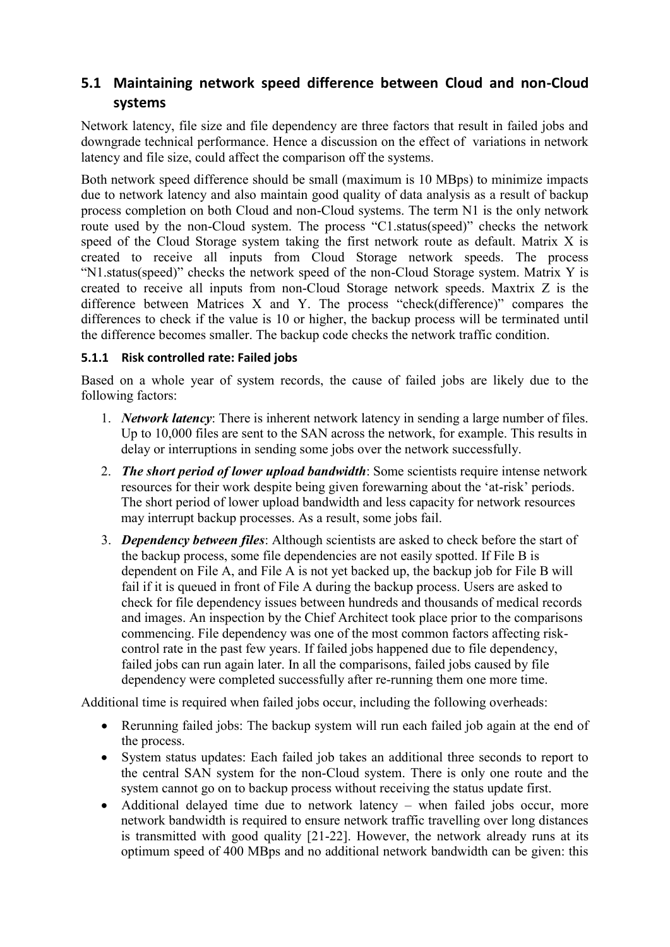## **5.1 Maintaining network speed difference between Cloud and non-Cloud systems**

Network latency, file size and file dependency are three factors that result in failed jobs and downgrade technical performance. Hence a discussion on the effect of variations in network latency and file size, could affect the comparison off the systems.

Both network speed difference should be small (maximum is 10 MBps) to minimize impacts due to network latency and also maintain good quality of data analysis as a result of backup process completion on both Cloud and non-Cloud systems. The term N1 is the only network route used by the non-Cloud system. The process "C1.status(speed)" checks the network speed of the Cloud Storage system taking the first network route as default. Matrix X is created to receive all inputs from Cloud Storage network speeds. The process "N1.status(speed)" checks the network speed of the non-Cloud Storage system. Matrix Y is created to receive all inputs from non-Cloud Storage network speeds. Maxtrix Z is the difference between Matrices X and Y. The process "check(difference)" compares the differences to check if the value is 10 or higher, the backup process will be terminated until the difference becomes smaller. The backup code checks the network traffic condition.

### **5.1.1 Risk controlled rate: Failed jobs**

Based on a whole year of system records, the cause of failed jobs are likely due to the following factors:

- 1. *Network latency*: There is inherent network latency in sending a large number of files. Up to 10,000 files are sent to the SAN across the network, for example. This results in delay or interruptions in sending some jobs over the network successfully.
- 2. *The short period of lower upload bandwidth*: Some scientists require intense network resources for their work despite being given forewarning about the 'at-risk' periods. The short period of lower upload bandwidth and less capacity for network resources may interrupt backup processes. As a result, some jobs fail.
- 3. *Dependency between files*: Although scientists are asked to check before the start of the backup process, some file dependencies are not easily spotted. If File B is dependent on File A, and File A is not yet backed up, the backup job for File B will fail if it is queued in front of File A during the backup process. Users are asked to check for file dependency issues between hundreds and thousands of medical records and images. An inspection by the Chief Architect took place prior to the comparisons commencing. File dependency was one of the most common factors affecting riskcontrol rate in the past few years. If failed jobs happened due to file dependency, failed jobs can run again later. In all the comparisons, failed jobs caused by file dependency were completed successfully after re-running them one more time.

Additional time is required when failed jobs occur, including the following overheads:

- Rerunning failed jobs: The backup system will run each failed job again at the end of the process.
- System status updates: Each failed job takes an additional three seconds to report to the central SAN system for the non-Cloud system. There is only one route and the system cannot go on to backup process without receiving the status update first.
- Additional delayed time due to network latency when failed jobs occur, more network bandwidth is required to ensure network traffic travelling over long distances is transmitted with good quality [21-22]. However, the network already runs at its optimum speed of 400 MBps and no additional network bandwidth can be given: this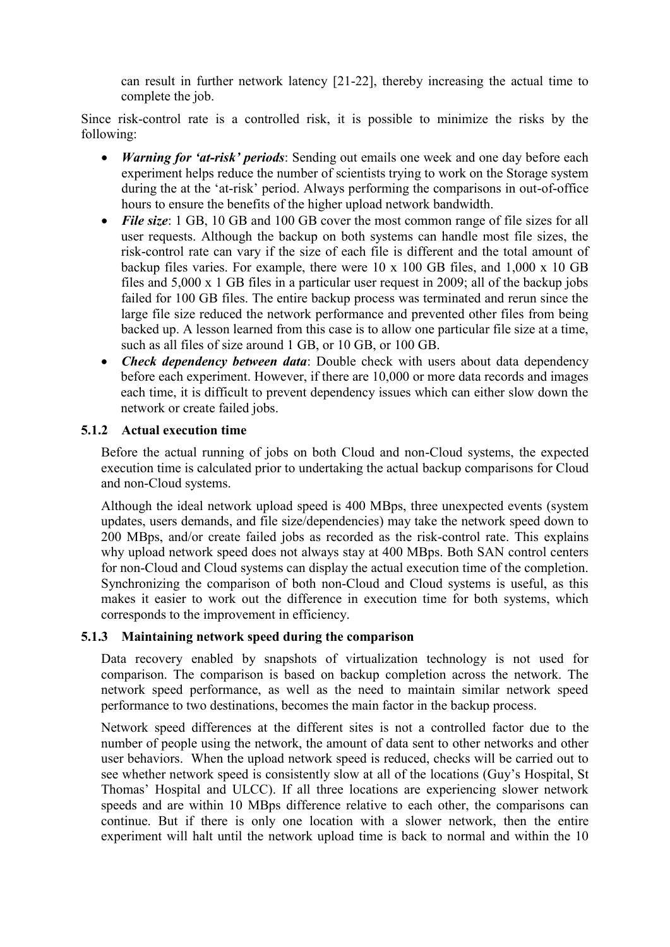can result in further network latency [21-22], thereby increasing the actual time to complete the job.

Since risk-control rate is a controlled risk, it is possible to minimize the risks by the following:

- *Warning for 'at-risk' periods*: Sending out emails one week and one day before each experiment helps reduce the number of scientists trying to work on the Storage system during the at the 'at-risk' period. Always performing the comparisons in out-of-office hours to ensure the benefits of the higher upload network bandwidth.
- *File size*: 1 GB, 10 GB and 100 GB cover the most common range of file sizes for all user requests. Although the backup on both systems can handle most file sizes, the risk-control rate can vary if the size of each file is different and the total amount of backup files varies. For example, there were 10 x 100 GB files, and 1,000 x 10 GB files and 5,000 x 1 GB files in a particular user request in 2009; all of the backup jobs failed for 100 GB files. The entire backup process was terminated and rerun since the large file size reduced the network performance and prevented other files from being backed up. A lesson learned from this case is to allow one particular file size at a time, such as all files of size around 1 GB, or 10 GB, or 100 GB.
- *Check dependency between data*: Double check with users about data dependency before each experiment. However, if there are 10,000 or more data records and images each time, it is difficult to prevent dependency issues which can either slow down the network or create failed jobs.

#### **5.1.2 Actual execution time**

Before the actual running of jobs on both Cloud and non-Cloud systems, the expected execution time is calculated prior to undertaking the actual backup comparisons for Cloud and non-Cloud systems.

Although the ideal network upload speed is 400 MBps, three unexpected events (system updates, users demands, and file size/dependencies) may take the network speed down to 200 MBps, and/or create failed jobs as recorded as the risk-control rate. This explains why upload network speed does not always stay at 400 MBps. Both SAN control centers for non-Cloud and Cloud systems can display the actual execution time of the completion. Synchronizing the comparison of both non-Cloud and Cloud systems is useful, as this makes it easier to work out the difference in execution time for both systems, which corresponds to the improvement in efficiency.

#### **5.1.3 Maintaining network speed during the comparison**

Data recovery enabled by snapshots of virtualization technology is not used for comparison. The comparison is based on backup completion across the network. The network speed performance, as well as the need to maintain similar network speed performance to two destinations, becomes the main factor in the backup process.

Network speed differences at the different sites is not a controlled factor due to the number of people using the network, the amount of data sent to other networks and other user behaviors. When the upload network speed is reduced, checks will be carried out to see whether network speed is consistently slow at all of the locations (Guy's Hospital, St Thomas' Hospital and ULCC). If all three locations are experiencing slower network speeds and are within 10 MBps difference relative to each other, the comparisons can continue. But if there is only one location with a slower network, then the entire experiment will halt until the network upload time is back to normal and within the 10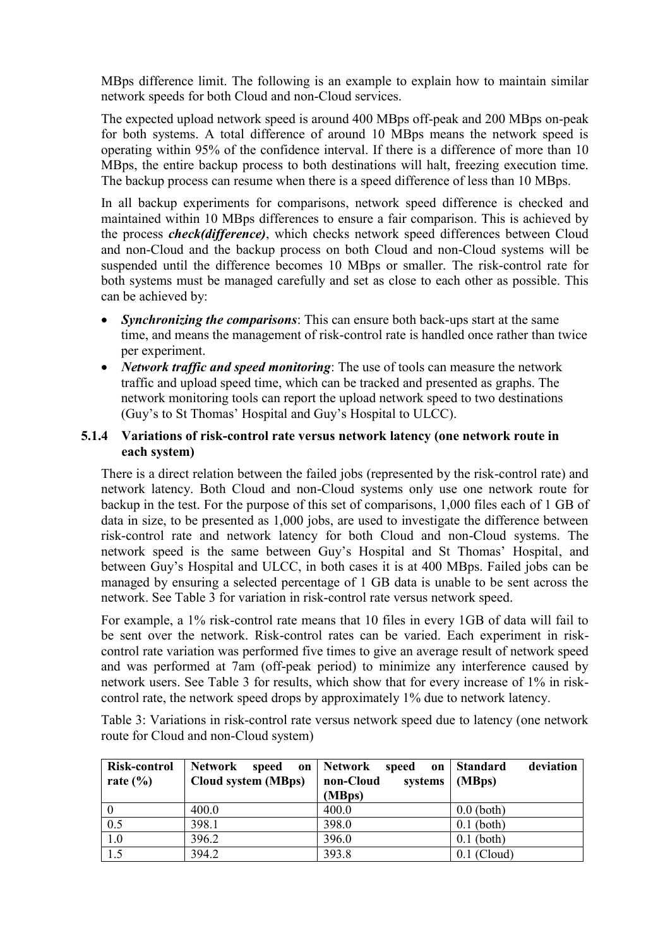MBps difference limit. The following is an example to explain how to maintain similar network speeds for both Cloud and non-Cloud services.

The expected upload network speed is around 400 MBps off-peak and 200 MBps on-peak for both systems. A total difference of around 10 MBps means the network speed is operating within 95% of the confidence interval. If there is a difference of more than 10 MBps, the entire backup process to both destinations will halt, freezing execution time. The backup process can resume when there is a speed difference of less than 10 MBps.

In all backup experiments for comparisons, network speed difference is checked and maintained within 10 MBps differences to ensure a fair comparison. This is achieved by the process *check(difference)*, which checks network speed differences between Cloud and non-Cloud and the backup process on both Cloud and non-Cloud systems will be suspended until the difference becomes 10 MBps or smaller. The risk-control rate for both systems must be managed carefully and set as close to each other as possible. This can be achieved by:

- *Synchronizing the comparisons*: This can ensure both back-ups start at the same time, and means the management of risk-control rate is handled once rather than twice per experiment.
- *Network traffic and speed monitoring*: The use of tools can measure the network traffic and upload speed time, which can be tracked and presented as graphs. The network monitoring tools can report the upload network speed to two destinations (Guy's to St Thomas' Hospital and Guy's Hospital to ULCC).

#### **5.1.4 Variations of risk-control rate versus network latency (one network route in each system)**

There is a direct relation between the failed jobs (represented by the risk-control rate) and network latency. Both Cloud and non-Cloud systems only use one network route for backup in the test. For the purpose of this set of comparisons, 1,000 files each of 1 GB of data in size, to be presented as 1,000 jobs, are used to investigate the difference between risk-control rate and network latency for both Cloud and non-Cloud systems. The network speed is the same between Guy's Hospital and St Thomas' Hospital, and between Guy's Hospital and ULCC, in both cases it is at 400 MBps. Failed jobs can be managed by ensuring a selected percentage of 1 GB data is unable to be sent across the network. See [Table 3](#page-14-0) for variation in risk-control rate versus network speed.

For example, a 1% risk-control rate means that 10 files in every 1GB of data will fail to be sent over the network. Risk-control rates can be varied. Each experiment in riskcontrol rate variation was performed five times to give an average result of network speed and was performed at 7am (off-peak period) to minimize any interference caused by network users. See [Table 3](#page-14-0) for results, which show that for every increase of 1% in riskcontrol rate, the network speed drops by approximately 1% due to network latency.

<span id="page-14-0"></span>Table 3: Variations in risk-control rate versus network speed due to latency (one network route for Cloud and non-Cloud system)

| Risk-control<br>rate $\left(\frac{0}{0}\right)$ | Network<br>speed<br>Cloud system (MBps) | on   Network<br>speed<br>on<br>non-Cloud<br>systems<br>(MBps) | deviation<br><b>Standard</b><br>(MBps) |
|-------------------------------------------------|-----------------------------------------|---------------------------------------------------------------|----------------------------------------|
| $\overline{0}$                                  | 400.0                                   | 400.0                                                         | $0.0$ (both)                           |
| $\overline{0.5}$                                | 398.1                                   | 398.0                                                         | $0.1$ (both)                           |
| 1.0                                             | 396.2                                   | 396.0                                                         | $0.1$ (both)                           |
| $\overline{1.5}$                                | 394.2                                   | 393.8                                                         | $0.1$ (Cloud)                          |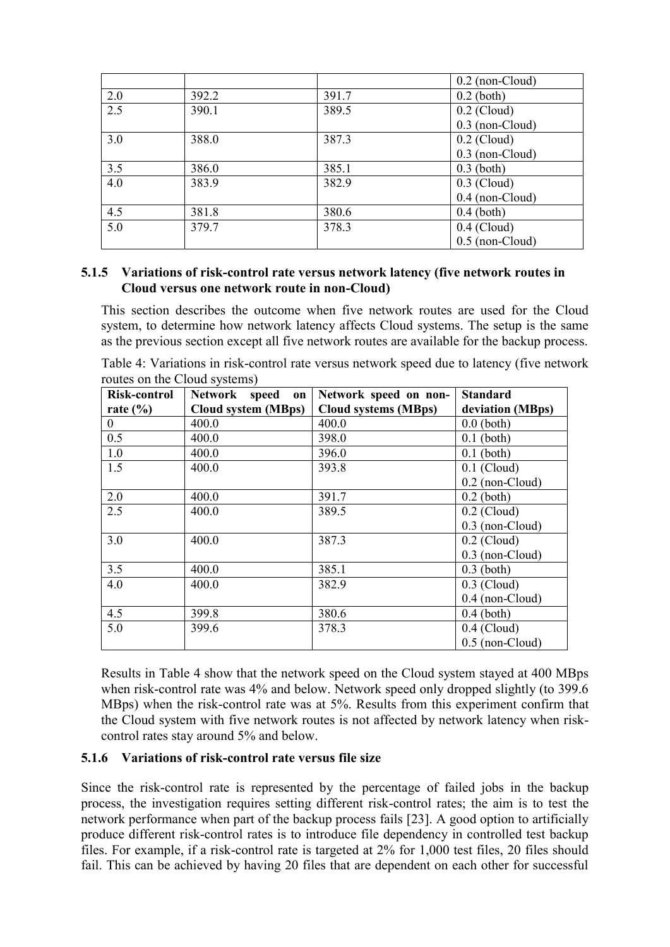|     |       |       | $0.2$ (non-Cloud) |
|-----|-------|-------|-------------------|
| 2.0 | 392.2 | 391.7 | $0.2$ (both)      |
| 2.5 | 390.1 | 389.5 | $0.2$ (Cloud)     |
|     |       |       | $0.3$ (non-Cloud) |
| 3.0 | 388.0 | 387.3 | $0.2$ (Cloud)     |
|     |       |       | $0.3$ (non-Cloud) |
| 3.5 | 386.0 | 385.1 | $0.3$ (both)      |
| 4.0 | 383.9 | 382.9 | $0.3$ (Cloud)     |
|     |       |       | 0.4 (non-Cloud)   |
| 4.5 | 381.8 | 380.6 | $0.4$ (both)      |
| 5.0 | 379.7 | 378.3 | $0.4$ (Cloud)     |
|     |       |       | $0.5$ (non-Cloud) |

#### **5.1.5 Variations of risk-control rate versus network latency (five network routes in Cloud versus one network route in non-Cloud)**

This section describes the outcome when five network routes are used for the Cloud system, to determine how network latency affects Cloud systems. The setup is the same as the previous section except all five network routes are available for the backup process.

<span id="page-15-0"></span>Table 4: Variations in risk-control rate versus network speed due to latency (five network routes on the Cloud systems)

| Risk-control | Network speed<br>$\mathbf{on}$ | Network speed on non-       | <b>Standard</b>   |
|--------------|--------------------------------|-----------------------------|-------------------|
| rate $(\% )$ | <b>Cloud system (MBps)</b>     | <b>Cloud systems (MBps)</b> | deviation (MBps)  |
| $\theta$     | 400.0                          | 400.0                       | $0.0$ (both)      |
| 0.5          | 400.0                          | 398.0                       | $0.1$ (both)      |
| 1.0          | 400.0                          | 396.0                       | $0.1$ (both)      |
| 1.5          | 400.0                          | 393.8                       | $0.1$ (Cloud)     |
|              |                                |                             | $0.2$ (non-Cloud) |
| 2.0          | 400.0                          | 391.7                       | $0.2$ (both)      |
| 2.5          | 400.0                          | 389.5                       | $0.2$ (Cloud)     |
|              |                                |                             | $0.3$ (non-Cloud) |
| 3.0          | 400.0                          | 387.3                       | $0.2$ (Cloud)     |
|              |                                |                             | $0.3$ (non-Cloud) |
| 3.5          | 400.0                          | 385.1                       | $0.3$ (both)      |
| 4.0          | 400.0                          | 382.9                       | $0.3$ (Cloud)     |
|              |                                |                             | $0.4$ (non-Cloud) |
| 4.5          | 399.8                          | 380.6                       | $0.4$ (both)      |
| 5.0          | 399.6                          | 378.3                       | $0.4$ (Cloud)     |
|              |                                |                             | $0.5$ (non-Cloud) |

Results in [Table 4](#page-15-0) show that the network speed on the Cloud system stayed at 400 MBps when risk-control rate was 4% and below. Network speed only dropped slightly (to 399.6 MBps) when the risk-control rate was at 5%. Results from this experiment confirm that the Cloud system with five network routes is not affected by network latency when riskcontrol rates stay around 5% and below.

#### **5.1.6 Variations of risk-control rate versus file size**

Since the risk-control rate is represented by the percentage of failed jobs in the backup process, the investigation requires setting different risk-control rates; the aim is to test the network performance when part of the backup process fails [23]. A good option to artificially produce different risk-control rates is to introduce file dependency in controlled test backup files. For example, if a risk-control rate is targeted at 2% for 1,000 test files, 20 files should fail. This can be achieved by having 20 files that are dependent on each other for successful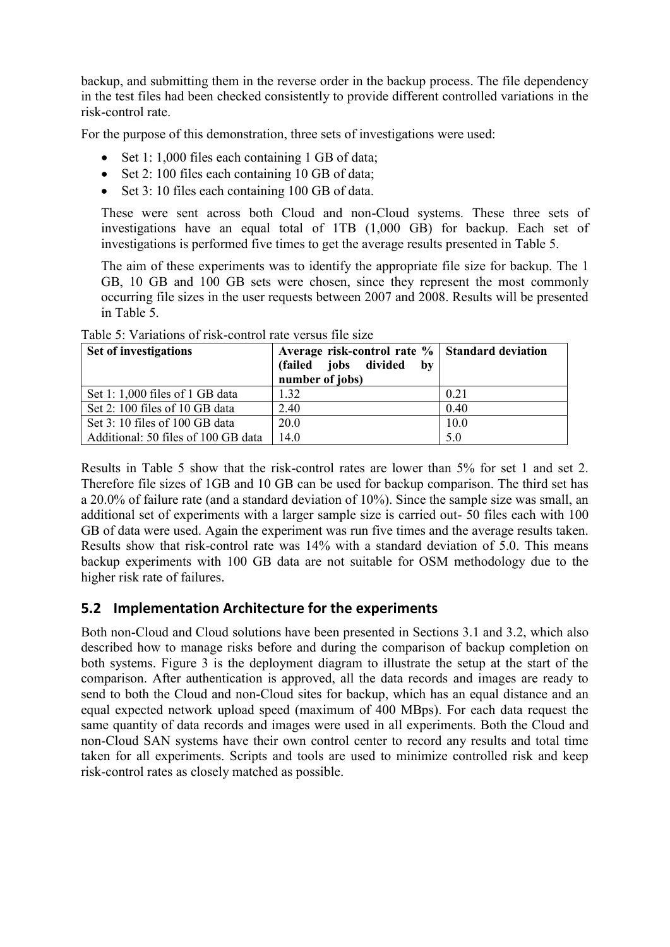backup, and submitting them in the reverse order in the backup process. The file dependency in the test files had been checked consistently to provide different controlled variations in the risk-control rate.

For the purpose of this demonstration, three sets of investigations were used:

- Set 1: 1,000 files each containing 1 GB of data;
- Set 2: 100 files each containing 10 GB of data;
- Set 3: 10 files each containing 100 GB of data.

These were sent across both Cloud and non-Cloud systems. These three sets of investigations have an equal total of 1TB (1,000 GB) for backup. Each set of investigations is performed five times to get the average results presented in [Table 5.](#page-16-0)

The aim of these experiments was to identify the appropriate file size for backup. The 1 GB, 10 GB and 100 GB sets were chosen, since they represent the most commonly occurring file sizes in the user requests between 2007 and 2008. Results will be presented in [Table 5.](#page-16-0)

| Set of investigations               | Average risk-control rate % Standard deviation |      |
|-------------------------------------|------------------------------------------------|------|
|                                     | (failed jobs divided<br>$-$ by                 |      |
|                                     | number of jobs)                                |      |
| Set 1: 1,000 files of 1 GB data     | 1.32                                           | 0.21 |
| Set 2: 100 files of 10 GB data      | 2.40                                           | 0.40 |
| Set 3: 10 files of 100 GB data      | 20.0                                           | 10.0 |
| Additional: 50 files of 100 GB data | 14.0                                           | 5.0  |

<span id="page-16-0"></span>Table 5: Variations of risk-control rate versus file size

Results in [Table 5](#page-16-0) show that the risk-control rates are lower than 5% for set 1 and set 2. Therefore file sizes of 1GB and 10 GB can be used for backup comparison. The third set has a 20.0% of failure rate (and a standard deviation of 10%). Since the sample size was small, an additional set of experiments with a larger sample size is carried out- 50 files each with 100 GB of data were used. Again the experiment was run five times and the average results taken. Results show that risk-control rate was 14% with a standard deviation of 5.0. This means backup experiments with 100 GB data are not suitable for OSM methodology due to the higher risk rate of failures.

### **5.2 Implementation Architecture for the experiments**

Both non-Cloud and Cloud solutions have been presented in Sections [3.1](#page-3-0) and [3.2,](#page-5-0) which also described how to manage risks before and during the comparison of backup completion on both systems. [Figure 3](#page-17-0) is the deployment diagram to illustrate the setup at the start of the comparison. After authentication is approved, all the data records and images are ready to send to both the Cloud and non-Cloud sites for backup, which has an equal distance and an equal expected network upload speed (maximum of 400 MBps). For each data request the same quantity of data records and images were used in all experiments. Both the Cloud and non-Cloud SAN systems have their own control center to record any results and total time taken for all experiments. Scripts and tools are used to minimize controlled risk and keep risk-control rates as closely matched as possible.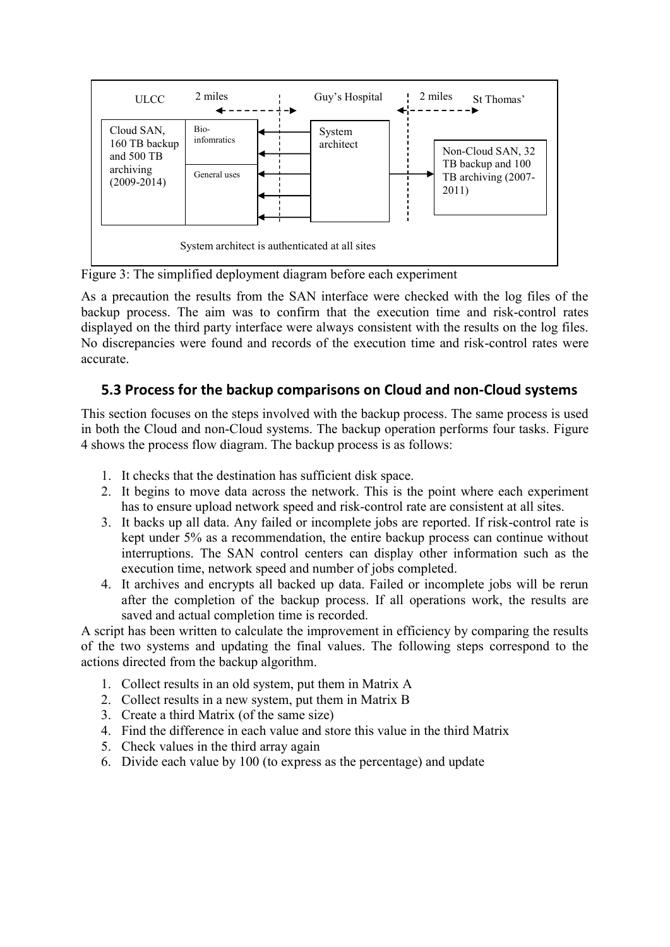

<span id="page-17-0"></span>Figure 3: The simplified deployment diagram before each experiment

As a precaution the results from the SAN interface were checked with the log files of the backup process. The aim was to confirm that the execution time and risk-control rates displayed on the third party interface were always consistent with the results on the log files. No discrepancies were found and records of the execution time and risk-control rates were accurate.

### **5.3 Process for the backup comparisons on Cloud and non-Cloud systems**

This section focuses on the steps involved with the backup process. The same process is used in both the Cloud and non-Cloud systems. The backup operation performs four tasks. [Figure](#page-18-0)  [4](#page-18-0) shows the process flow diagram. The backup process is as follows:

- 1. It checks that the destination has sufficient disk space.
- 2. It begins to move data across the network. This is the point where each experiment has to ensure upload network speed and risk-control rate are consistent at all sites.
- 3. It backs up all data. Any failed or incomplete jobs are reported. If risk-control rate is kept under 5% as a recommendation, the entire backup process can continue without interruptions. The SAN control centers can display other information such as the execution time, network speed and number of jobs completed.
- 4. It archives and encrypts all backed up data. Failed or incomplete jobs will be rerun after the completion of the backup process. If all operations work, the results are saved and actual completion time is recorded.

A script has been written to calculate the improvement in efficiency by comparing the results of the two systems and updating the final values. The following steps correspond to the actions directed from the backup algorithm.

- 1. Collect results in an old system, put them in Matrix A
- 2. Collect results in a new system, put them in Matrix B
- 3. Create a third Matrix (of the same size)
- 4. Find the difference in each value and store this value in the third Matrix
- 5. Check values in the third array again
- 6. Divide each value by 100 (to express as the percentage) and update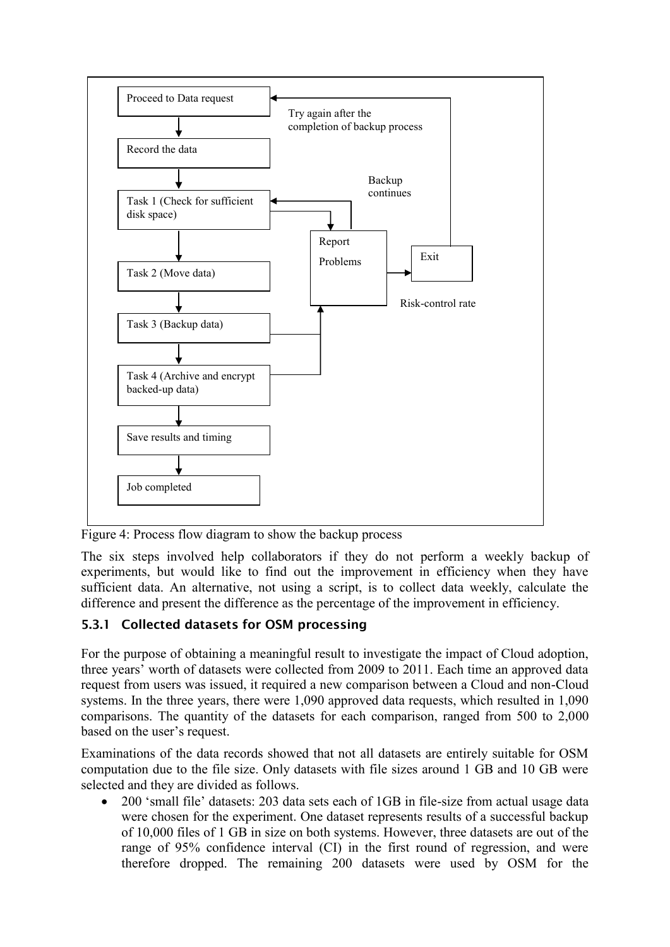

<span id="page-18-0"></span>Figure 4: Process flow diagram to show the backup process

The six steps involved help collaborators if they do not perform a weekly backup of experiments, but would like to find out the improvement in efficiency when they have sufficient data. An alternative, not using a script, is to collect data weekly, calculate the difference and present the difference as the percentage of the improvement in efficiency.

#### **5.3.1 Collected datasets for OSM processing**

For the purpose of obtaining a meaningful result to investigate the impact of Cloud adoption, three years' worth of datasets were collected from 2009 to 2011. Each time an approved data request from users was issued, it required a new comparison between a Cloud and non-Cloud systems. In the three years, there were 1,090 approved data requests, which resulted in 1,090 comparisons. The quantity of the datasets for each comparison, ranged from 500 to 2,000 based on the user's request.

Examinations of the data records showed that not all datasets are entirely suitable for OSM computation due to the file size. Only datasets with file sizes around 1 GB and 10 GB were selected and they are divided as follows.

• 200 'small file' datasets: 203 data sets each of 1GB in file-size from actual usage data were chosen for the experiment. One dataset represents results of a successful backup of 10,000 files of 1 GB in size on both systems. However, three datasets are out of the range of 95% confidence interval (CI) in the first round of regression, and were therefore dropped. The remaining 200 datasets were used by OSM for the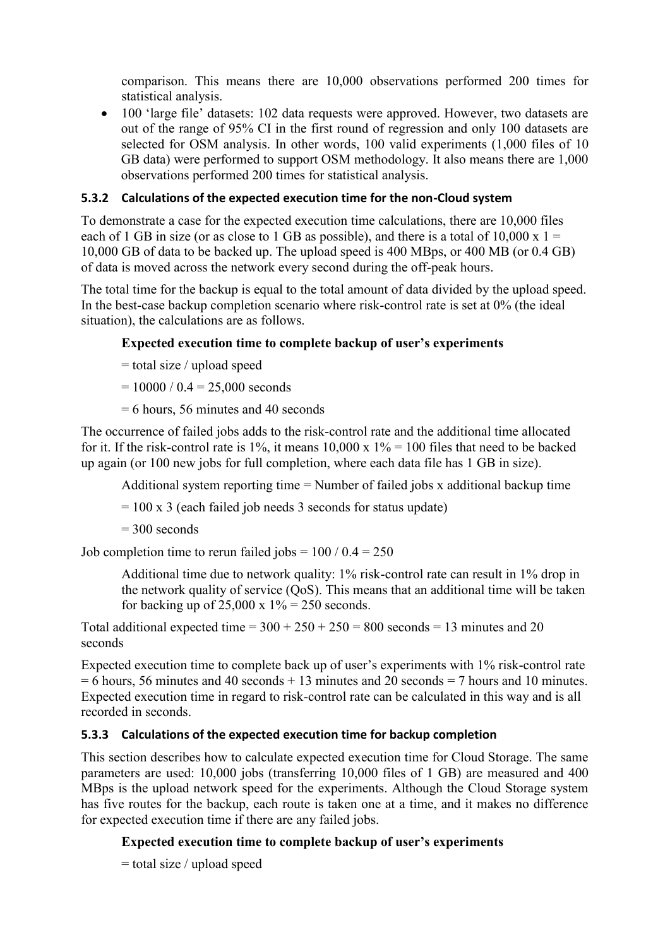comparison. This means there are 10,000 observations performed 200 times for statistical analysis.

 100 'large file' datasets: 102 data requests were approved. However, two datasets are out of the range of 95% CI in the first round of regression and only 100 datasets are selected for OSM analysis. In other words, 100 valid experiments (1,000 files of 10 GB data) were performed to support OSM methodology. It also means there are 1,000 observations performed 200 times for statistical analysis.

#### <span id="page-19-0"></span>**5.3.2 Calculations of the expected execution time for the non-Cloud system**

To demonstrate a case for the expected execution time calculations, there are 10,000 files each of 1 GB in size (or as close to 1 GB as possible), and there is a total of 10,000 x  $1 =$ 10,000 GB of data to be backed up. The upload speed is 400 MBps, or 400 MB (or 0.4 GB) of data is moved across the network every second during the off-peak hours.

The total time for the backup is equal to the total amount of data divided by the upload speed. In the best-case backup completion scenario where risk-control rate is set at 0% (the ideal situation), the calculations are as follows.

#### **Expected execution time to complete backup of user's experiments**

- $=$  total size / upload speed
- $= 10000 / 0.4 = 25{,}000$  seconds
- = 6 hours, 56 minutes and 40 seconds

The occurrence of failed jobs adds to the risk-control rate and the additional time allocated for it. If the risk-control rate is 1%, it means  $10,000 \times 1\% = 100$  files that need to be backed up again (or 100 new jobs for full completion, where each data file has 1 GB in size).

Additional system reporting time = Number of failed jobs x additional backup time

 $= 100 \times 3$  (each failed job needs 3 seconds for status update)

 $= 300$  seconds

Job completion time to rerun failed jobs =  $100 / 0.4 = 250$ 

Additional time due to network quality: 1% risk-control rate can result in 1% drop in the network quality of service (QoS). This means that an additional time will be taken for backing up of 25,000 x  $1\% = 250$  seconds.

Total additional expected time =  $300 + 250 + 250 = 800$  seconds = 13 minutes and 20 seconds

Expected execution time to complete back up of user's experiments with 1% risk-control rate  $= 6$  hours, 56 minutes and 40 seconds  $+ 13$  minutes and 20 seconds  $= 7$  hours and 10 minutes. Expected execution time in regard to risk-control rate can be calculated in this way and is all recorded in seconds.

#### <span id="page-19-1"></span>**5.3.3 Calculations of the expected execution time for backup completion**

This section describes how to calculate expected execution time for Cloud Storage. The same parameters are used: 10,000 jobs (transferring 10,000 files of 1 GB) are measured and 400 MBps is the upload network speed for the experiments. Although the Cloud Storage system has five routes for the backup, each route is taken one at a time, and it makes no difference for expected execution time if there are any failed jobs.

#### **Expected execution time to complete backup of user's experiments**

= total size / upload speed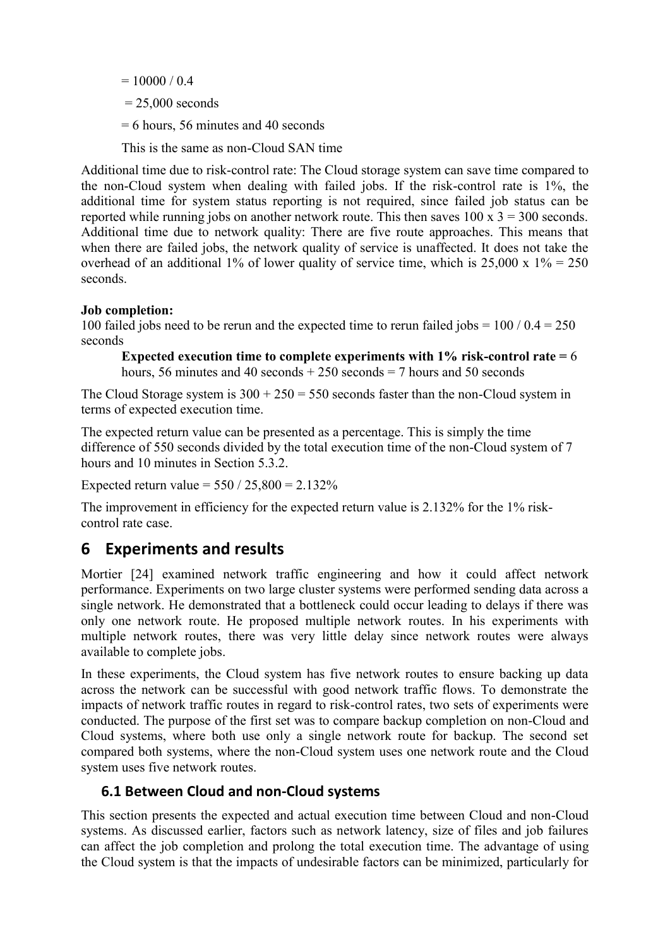$= 10000 / 0.4$ 

- $= 25,000$  seconds
- = 6 hours, 56 minutes and 40 seconds

This is the same as non-Cloud SAN time

Additional time due to risk-control rate: The Cloud storage system can save time compared to the non-Cloud system when dealing with failed jobs. If the risk-control rate is 1%, the additional time for system status reporting is not required, since failed job status can be reported while running jobs on another network route. This then saves  $100 \times 3 = 300$  seconds. Additional time due to network quality: There are five route approaches. This means that when there are failed jobs, the network quality of service is unaffected. It does not take the overhead of an additional 1% of lower quality of service time, which is  $25,000 \times 1\% = 250$ seconds.

#### **Job completion:**

100 failed jobs need to be rerun and the expected time to rerun failed jobs =  $100 / 0.4 = 250$ seconds

**Expected execution time to complete experiments with 1% risk-control rate =** 6 hours, 56 minutes and 40 seconds  $+250$  seconds  $= 7$  hours and 50 seconds

The Cloud Storage system is  $300 + 250 = 550$  seconds faster than the non-Cloud system in terms of expected execution time.

The expected return value can be presented as a percentage. This is simply the time difference of 550 seconds divided by the total execution time of the non-Cloud system of 7 hours and 10 minutes in Section [5.3.2.](#page-19-0)

Expected return value =  $550 / 25,800 = 2.132\%$ 

The improvement in efficiency for the expected return value is 2.132% for the 1% riskcontrol rate case.

## **6 Experiments and results**

Mortier [24] examined network traffic engineering and how it could affect network performance. Experiments on two large cluster systems were performed sending data across a single network. He demonstrated that a bottleneck could occur leading to delays if there was only one network route. He proposed multiple network routes. In his experiments with multiple network routes, there was very little delay since network routes were always available to complete jobs.

In these experiments, the Cloud system has five network routes to ensure backing up data across the network can be successful with good network traffic flows. To demonstrate the impacts of network traffic routes in regard to risk-control rates, two sets of experiments were conducted. The purpose of the first set was to compare backup completion on non-Cloud and Cloud systems, where both use only a single network route for backup. The second set compared both systems, where the non-Cloud system uses one network route and the Cloud system uses five network routes.

#### **6.1 Between Cloud and non-Cloud systems**

This section presents the expected and actual execution time between Cloud and non-Cloud systems. As discussed earlier, factors such as network latency, size of files and job failures can affect the job completion and prolong the total execution time. The advantage of using the Cloud system is that the impacts of undesirable factors can be minimized, particularly for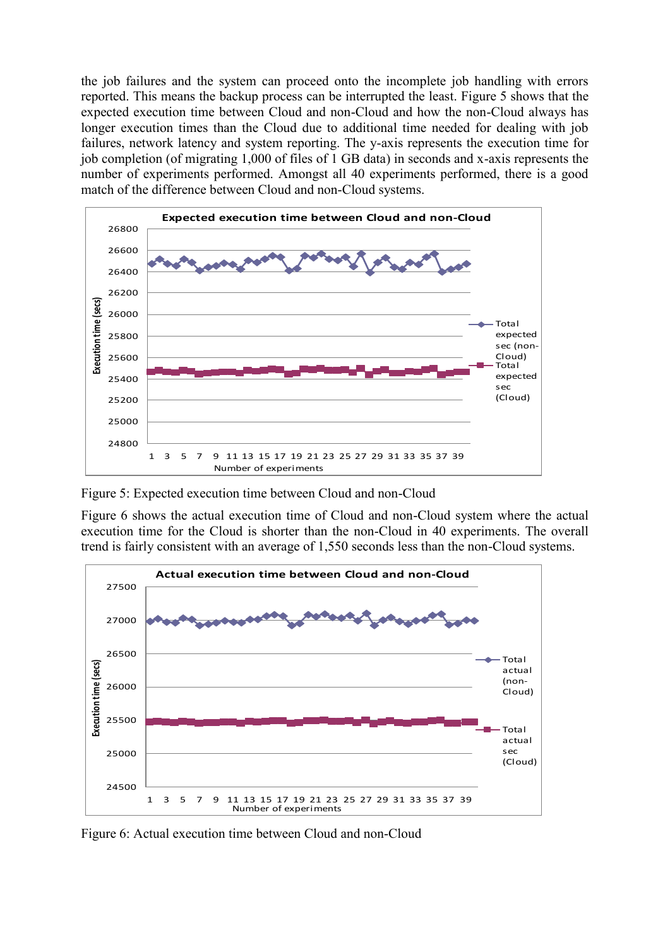the job failures and the system can proceed onto the incomplete job handling with errors reported. This means the backup process can be interrupted the least. [Figure 5](#page-21-0) shows that the expected execution time between Cloud and non-Cloud and how the non-Cloud always has longer execution times than the Cloud due to additional time needed for dealing with job failures, network latency and system reporting. The y-axis represents the execution time for job completion (of migrating 1,000 of files of 1 GB data) in seconds and x-axis represents the number of experiments performed. Amongst all 40 experiments performed, there is a good match of the difference between Cloud and non-Cloud systems.



<span id="page-21-0"></span>Figure 5: Expected execution time between Cloud and non-Cloud

[Figure 6](#page-21-1) shows the actual execution time of Cloud and non-Cloud system where the actual execution time for the Cloud is shorter than the non-Cloud in 40 experiments. The overall trend is fairly consistent with an average of 1,550 seconds less than the non-Cloud systems.



<span id="page-21-1"></span>Figure 6: Actual execution time between Cloud and non-Cloud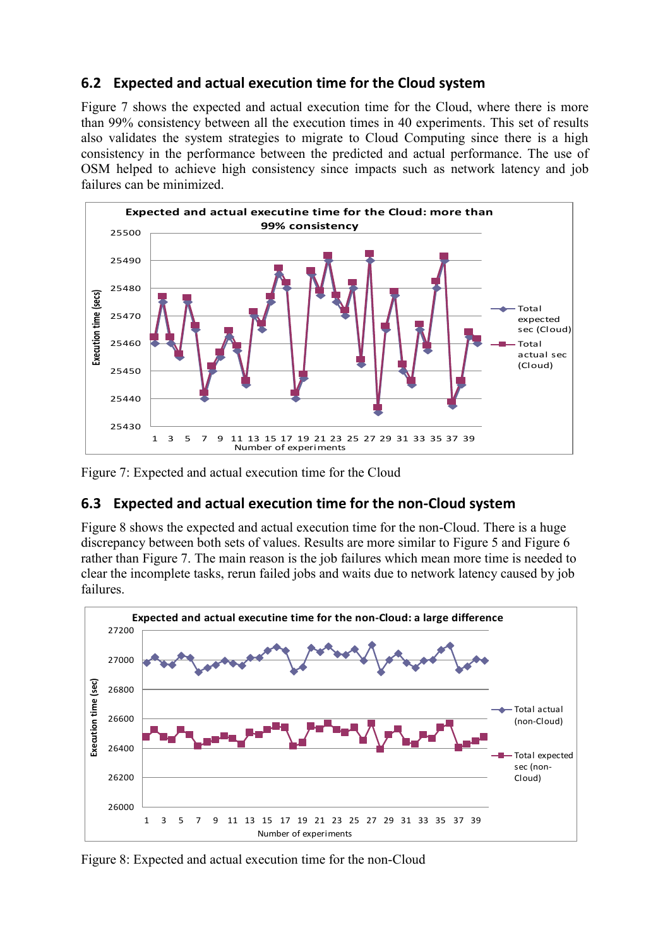## **6.2 Expected and actual execution time for the Cloud system**

[Figure 7](#page-22-0) shows the expected and actual execution time for the Cloud, where there is more than 99% consistency between all the execution times in 40 experiments. This set of results also validates the system strategies to migrate to Cloud Computing since there is a high consistency in the performance between the predicted and actual performance. The use of OSM helped to achieve high consistency since impacts such as network latency and job failures can be minimized.



<span id="page-22-0"></span>Figure 7: Expected and actual execution time for the Cloud

## **6.3 Expected and actual execution time for the non-Cloud system**

[Figure 8](#page-22-1) shows the expected and actual execution time for the non-Cloud. There is a huge discrepancy between both sets of values. Results are more similar to [Figure 5](#page-21-0) and [Figure 6](#page-21-1) rather than [Figure 7.](#page-22-0) The main reason is the job failures which mean more time is needed to clear the incomplete tasks, rerun failed jobs and waits due to network latency caused by job failures.



<span id="page-22-1"></span>Figure 8: Expected and actual execution time for the non-Cloud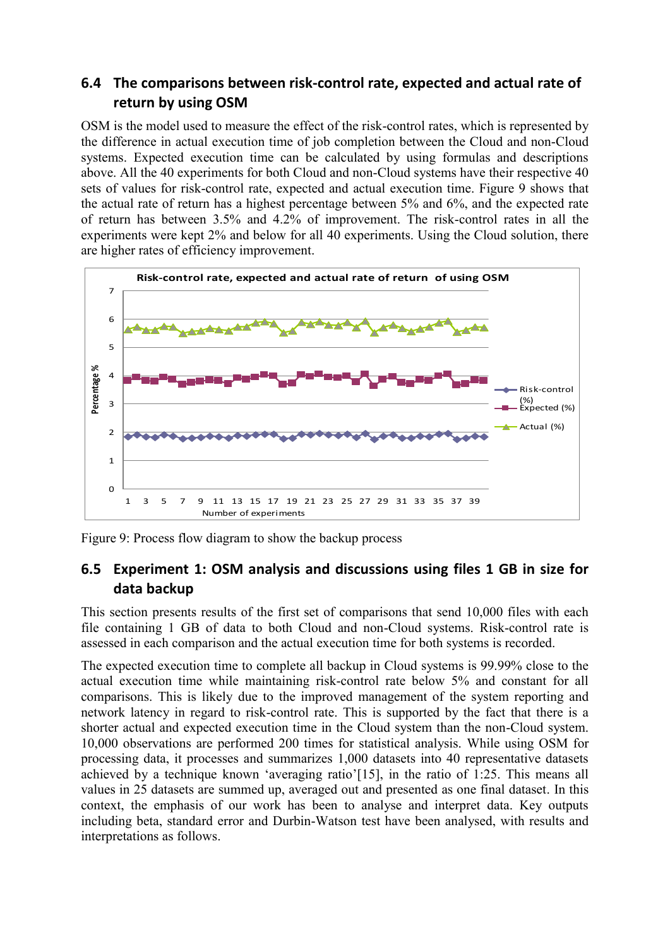## **6.4 The comparisons between risk-control rate, expected and actual rate of return by using OSM**

OSM is the model used to measure the effect of the risk-control rates, which is represented by the difference in actual execution time of job completion between the Cloud and non-Cloud systems. Expected execution time can be calculated by using formulas and descriptions above. All the 40 experiments for both Cloud and non-Cloud systems have their respective 40 sets of values for risk-control rate, expected and actual execution time. [Figure 9](#page-23-0) shows that the actual rate of return has a highest percentage between 5% and 6%, and the expected rate of return has between 3.5% and 4.2% of improvement. The risk-control rates in all the experiments were kept 2% and below for all 40 experiments. Using the Cloud solution, there are higher rates of efficiency improvement.



<span id="page-23-0"></span>Figure 9: Process flow diagram to show the backup process

## <span id="page-23-1"></span>**6.5 Experiment 1: OSM analysis and discussions using files 1 GB in size for data backup**

This section presents results of the first set of comparisons that send 10,000 files with each file containing 1 GB of data to both Cloud and non-Cloud systems. Risk-control rate is assessed in each comparison and the actual execution time for both systems is recorded.

The expected execution time to complete all backup in Cloud systems is 99.99% close to the actual execution time while maintaining risk-control rate below 5% and constant for all comparisons. This is likely due to the improved management of the system reporting and network latency in regard to risk-control rate. This is supported by the fact that there is a shorter actual and expected execution time in the Cloud system than the non-Cloud system. 10,000 observations are performed 200 times for statistical analysis. While using OSM for processing data, it processes and summarizes 1,000 datasets into 40 representative datasets achieved by a technique known 'averaging ratio'[15], in the ratio of 1:25. This means all values in 25 datasets are summed up, averaged out and presented as one final dataset. In this context, the emphasis of our work has been to analyse and interpret data. Key outputs including beta, standard error and Durbin-Watson test have been analysed, with results and interpretations as follows.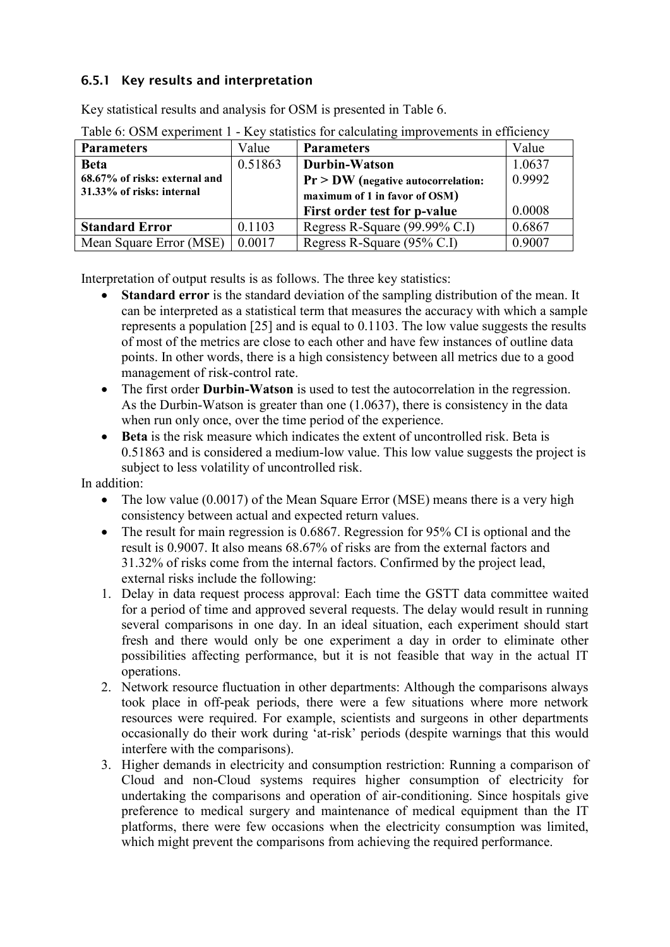### **6.5.1 Key results and interpretation**

Key statistical results and analysis for OSM is presented in [Table 6.](#page-24-0)

| 110, summonto for <b>care anoming</b> improvements in existence |         |                                      |        |  |
|-----------------------------------------------------------------|---------|--------------------------------------|--------|--|
| <b>Parameters</b>                                               | Value   | <b>Parameters</b>                    | Value  |  |
| <b>Beta</b>                                                     | 0.51863 | Durbin-Watson                        | 1.0637 |  |
| 68.67% of risks: external and                                   |         | $Pr$ > DW (negative autocorrelation: | 0.9992 |  |
| 31.33% of risks: internal                                       |         | maximum of 1 in favor of OSM)        |        |  |
|                                                                 |         | First order test for p-value         | 0.0008 |  |
| <b>Standard Error</b>                                           | 0.1103  | Regress R-Square (99.99% C.I)        | 0.6867 |  |
| Mean Square Error (MSE)                                         | 0.0017  | Regress R-Square (95% C.I)           | 0.9007 |  |

<span id="page-24-0"></span>Table 6: OSM experiment 1 - Key statistics for calculating improvements in efficiency

Interpretation of output results is as follows. The three key statistics:

- **Standard error** is the standard deviation of the sampling distribution of the mean. It can be interpreted as a statistical term that measures the accuracy with which a sample represents a population [25] and is equal to 0.1103. The low value suggests the results of most of the metrics are close to each other and have few instances of outline data points. In other words, there is a high consistency between all metrics due to a good management of risk-control rate.
- The first order **Durbin-Watson** is used to test the autocorrelation in the regression. As the Durbin-Watson is greater than one (1.0637), there is consistency in the data when run only once, over the time period of the experience.
- **Beta** is the risk measure which indicates the extent of uncontrolled risk. Beta is 0.51863 and is considered a medium-low value. This low value suggests the project is subject to less volatility of uncontrolled risk.

In addition:

- The low value (0.0017) of the Mean Square Error (MSE) means there is a very high consistency between actual and expected return values.
- The result for main regression is 0.6867. Regression for 95% CI is optional and the result is 0.9007. It also means 68.67% of risks are from the external factors and 31.32% of risks come from the internal factors. Confirmed by the project lead, external risks include the following:
- 1. Delay in data request process approval: Each time the GSTT data committee waited for a period of time and approved several requests. The delay would result in running several comparisons in one day. In an ideal situation, each experiment should start fresh and there would only be one experiment a day in order to eliminate other possibilities affecting performance, but it is not feasible that way in the actual IT operations.
- 2. Network resource fluctuation in other departments: Although the comparisons always took place in off-peak periods, there were a few situations where more network resources were required. For example, scientists and surgeons in other departments occasionally do their work during 'at-risk' periods (despite warnings that this would interfere with the comparisons).
- 3. Higher demands in electricity and consumption restriction: Running a comparison of Cloud and non-Cloud systems requires higher consumption of electricity for undertaking the comparisons and operation of air-conditioning. Since hospitals give preference to medical surgery and maintenance of medical equipment than the IT platforms, there were few occasions when the electricity consumption was limited, which might prevent the comparisons from achieving the required performance.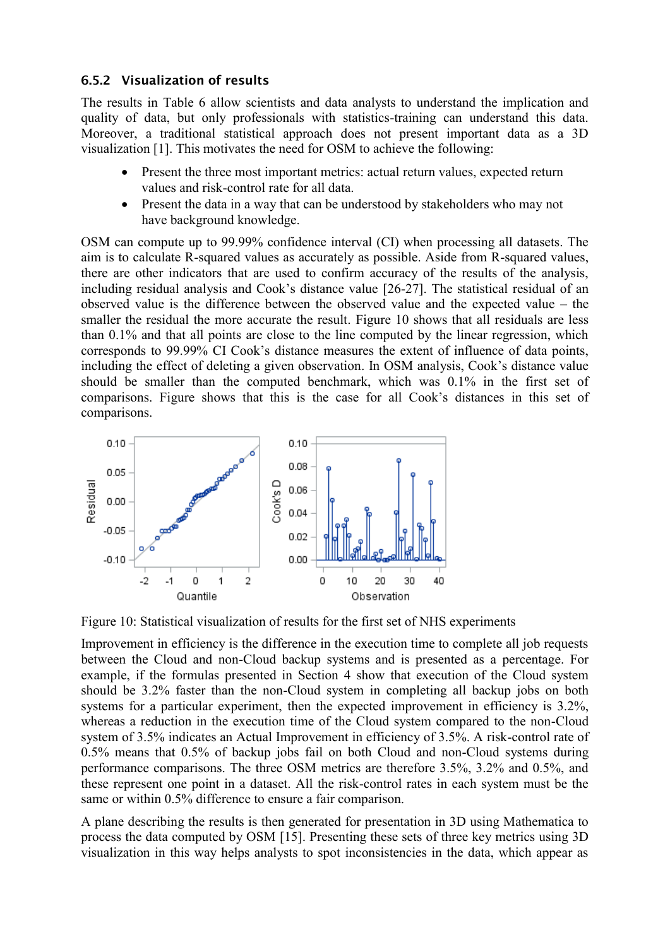#### <span id="page-25-1"></span>**6.5.2 Visualization of results**

The results in [Table 6](#page-24-0) allow scientists and data analysts to understand the implication and quality of data, but only professionals with statistics-training can understand this data. Moreover, a traditional statistical approach does not present important data as a 3D visualization [1]. This motivates the need for OSM to achieve the following:

- Present the three most important metrics: actual return values, expected return values and risk-control rate for all data.
- Present the data in a way that can be understood by stakeholders who may not have background knowledge.

OSM can compute up to 99.99% confidence interval (CI) when processing all datasets. The aim is to calculate R-squared values as accurately as possible. Aside from R-squared values, there are other indicators that are used to confirm accuracy of the results of the analysis, including residual analysis and Cook's distance value [26-27]. The statistical residual of an observed value is the difference between the observed value and the expected value – the smaller the residual the more accurate the result. [Figure 10](#page-25-0) shows that all residuals are less than 0.1% and that all points are close to the line computed by the linear regression, which corresponds to 99.99% CI Cook's distance measures the extent of influence of data points, including the effect of deleting a given observation. In OSM analysis, Cook's distance value should be smaller than the computed benchmark, which was 0.1% in the first set of comparisons. [Figure](#page-29-0) shows that this is the case for all Cook's distances in this set of comparisons.



<span id="page-25-0"></span>Figure 10: Statistical visualization of results for the first set of NHS experiments

Improvement in efficiency is the difference in the execution time to complete all job requests between the Cloud and non-Cloud backup systems and is presented as a percentage. For example, if the formulas presented in Section [4](#page-8-0) show that execution of the Cloud system should be 3.2% faster than the non-Cloud system in completing all backup jobs on both systems for a particular experiment, then the expected improvement in efficiency is 3.2%, whereas a reduction in the execution time of the Cloud system compared to the non-Cloud system of 3.5% indicates an Actual Improvement in efficiency of 3.5%. A risk-control rate of 0.5% means that 0.5% of backup jobs fail on both Cloud and non-Cloud systems during performance comparisons. The three OSM metrics are therefore 3.5%, 3.2% and 0.5%, and these represent one point in a dataset. All the risk-control rates in each system must be the same or within 0.5% difference to ensure a fair comparison.

A plane describing the results is then generated for presentation in 3D using Mathematica to process the data computed by OSM [15]. Presenting these sets of three key metrics using 3D visualization in this way helps analysts to spot inconsistencies in the data, which appear as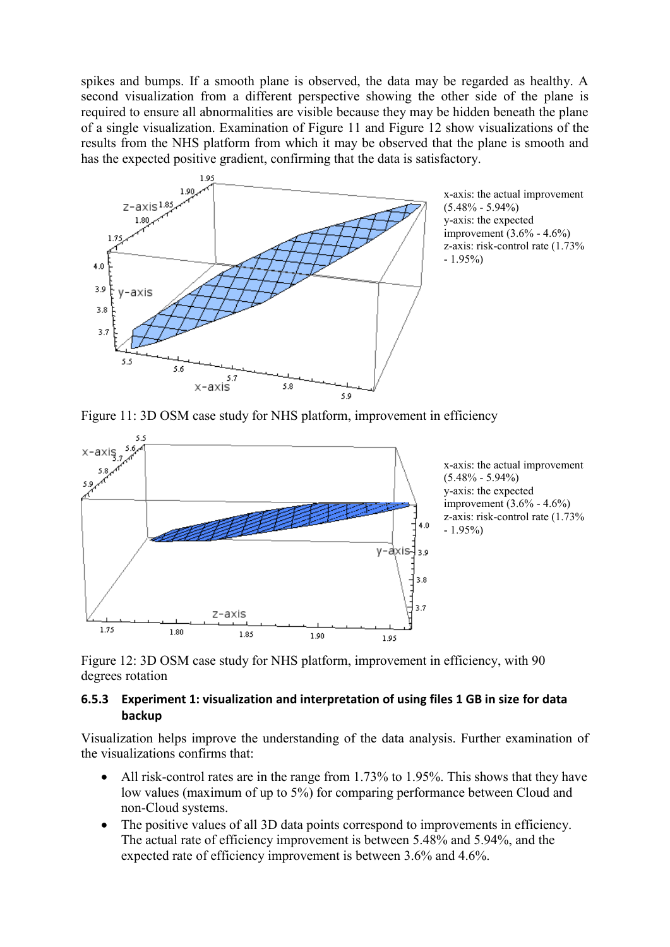spikes and bumps. If a smooth plane is observed, the data may be regarded as healthy. A second visualization from a different perspective showing the other side of the plane is required to ensure all abnormalities are visible because they may be hidden beneath the plane of a single visualization. Examination of [Figure 11](#page-26-0) and [Figure 12](#page-26-1) show visualizations of the results from the NHS platform from which it may be observed that the plane is smooth and has the expected positive gradient, confirming that the data is satisfactory.



x-axis: the actual improvement  $(5.48\% - 5.94\%)$ y-axis: the expected improvement (3.6% - 4.6%) z-axis: risk-control rate (1.73% - 1.95%)

<span id="page-26-0"></span>Figure 11: 3D OSM case study for NHS platform, improvement in efficiency



<span id="page-26-1"></span>Figure 12: 3D OSM case study for NHS platform, improvement in efficiency, with 90 degrees rotation

#### **6.5.3 Experiment 1: visualization and interpretation of using files 1 GB in size for data backup**

Visualization helps improve the understanding of the data analysis. Further examination of the visualizations confirms that:

- All risk-control rates are in the range from 1.73% to 1.95%. This shows that they have low values (maximum of up to 5%) for comparing performance between Cloud and non-Cloud systems.
- The positive values of all 3D data points correspond to improvements in efficiency. The actual rate of efficiency improvement is between 5.48% and 5.94%, and the expected rate of efficiency improvement is between 3.6% and 4.6%.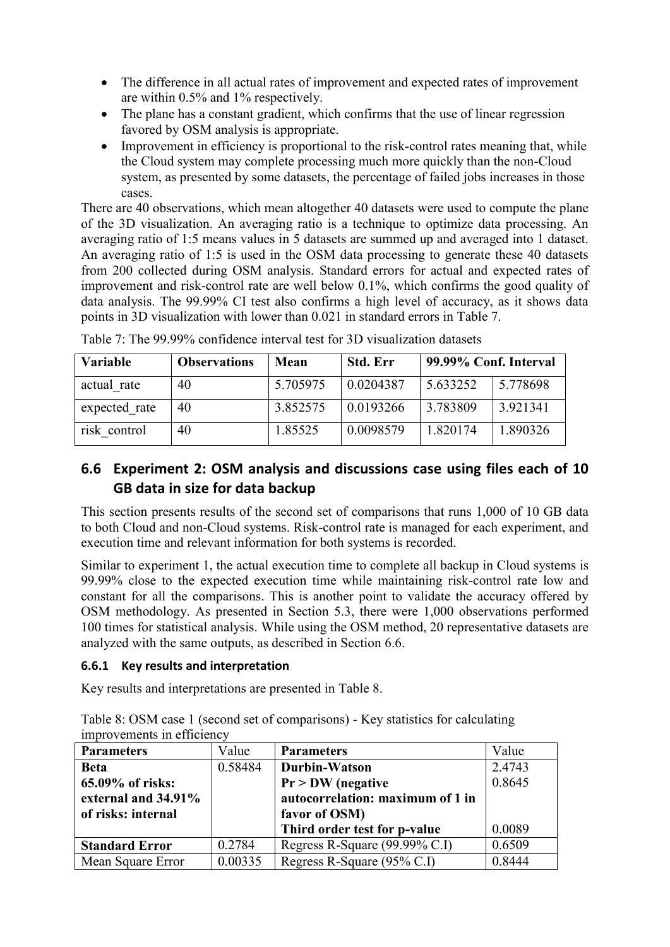- The difference in all actual rates of improvement and expected rates of improvement are within 0.5% and 1% respectively.
- The plane has a constant gradient, which confirms that the use of linear regression favored by OSM analysis is appropriate.
- Improvement in efficiency is proportional to the risk-control rates meaning that, while the Cloud system may complete processing much more quickly than the non-Cloud system, as presented by some datasets, the percentage of failed jobs increases in those cases.

There are 40 observations, which mean altogether 40 datasets were used to compute the plane of the 3D visualization. An averaging ratio is a technique to optimize data processing. An averaging ratio of 1:5 means values in 5 datasets are summed up and averaged into 1 dataset. An averaging ratio of 1:5 is used in the OSM data processing to generate these 40 datasets from 200 collected during OSM analysis. Standard errors for actual and expected rates of improvement and risk-control rate are well below 0.1%, which confirms the good quality of data analysis. The 99.99% CI test also confirms a high level of accuracy, as it shows data points in 3D visualization with lower than 0.021 in standard errors in [Table 7.](#page-27-0)

| <b>Variable</b> | <b>Observations</b> | Mean     | <b>Std. Err</b> | 99.99% Conf. Interval |          |
|-----------------|---------------------|----------|-----------------|-----------------------|----------|
| actual rate     | 40                  | 5.705975 | 0.0204387       | 5.633252              | 5.778698 |
| expected rate   | 40                  | 3.852575 | 0.0193266       | 3.783809              | 3.921341 |
| risk control    | 40                  | 1.85525  | 0.0098579       | 1.820174              | 1.890326 |

<span id="page-27-0"></span>Table 7: The 99.99% confidence interval test for 3D visualization datasets

## <span id="page-27-1"></span>**6.6 Experiment 2: OSM analysis and discussions case using files each of 10 GB data in size for data backup**

This section presents results of the second set of comparisons that runs 1,000 of 10 GB data to both Cloud and non-Cloud systems. Risk-control rate is managed for each experiment, and execution time and relevant information for both systems is recorded.

Similar to experiment 1, the actual execution time to complete all backup in Cloud systems is 99.99% close to the expected execution time while maintaining risk-control rate low and constant for all the comparisons. This is another point to validate the accuracy offered by OSM methodology. As presented in Section 5.3, there were 1,000 observations performed 100 times for statistical analysis. While using the OSM method, 20 representative datasets are analyzed with the same outputs, as described in Section [6.6.](#page-27-1)

#### **6.6.1 Key results and interpretation**

Key results and interpretations are presented in [Table 8.](#page-27-2)

<span id="page-27-2"></span>Table 8: OSM case 1 (second set of comparisons) - Key statistics for calculating improvements in efficiency

| <b>Parameters</b>     | Value   | <b>Parameters</b>                | Value  |
|-----------------------|---------|----------------------------------|--------|
| <b>Beta</b>           | 0.58484 | Durbin-Watson                    | 2.4743 |
| 65.09% of risks:      |         | $Pr > DW$ (negative              | 0.8645 |
| external and 34.91%   |         | autocorrelation: maximum of 1 in |        |
| of risks: internal    |         | favor of OSM)                    |        |
|                       |         | Third order test for p-value     | 0.0089 |
| <b>Standard Error</b> | 0.2784  | Regress R-Square (99.99% C.I)    | 0.6509 |
| Mean Square Error     | 0.00335 | Regress R-Square (95% C.I)       | 0.8444 |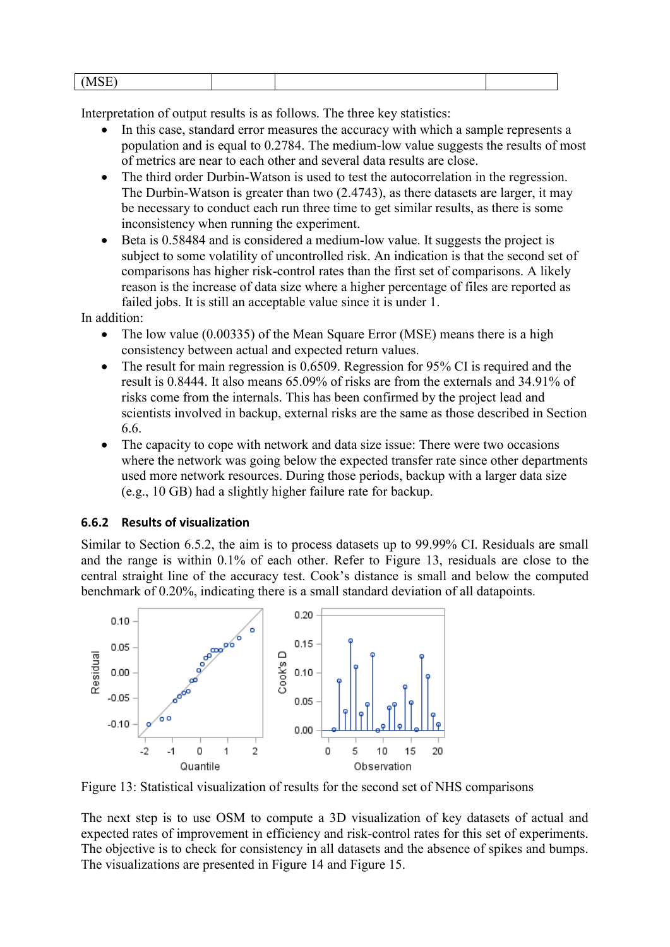| $I \cap \Gamma$<br>'NA<br>س بند ب |  |  |
|-----------------------------------|--|--|
|                                   |  |  |

Interpretation of output results is as follows. The three key statistics:

- In this case, standard error measures the accuracy with which a sample represents a population and is equal to 0.2784. The medium-low value suggests the results of most of metrics are near to each other and several data results are close.
- The third order Durbin-Watson is used to test the autocorrelation in the regression. The Durbin-Watson is greater than two (2.4743), as there datasets are larger, it may be necessary to conduct each run three time to get similar results, as there is some inconsistency when running the experiment.
- Beta is 0.58484 and is considered a medium-low value. It suggests the project is subject to some volatility of uncontrolled risk. An indication is that the second set of comparisons has higher risk-control rates than the first set of comparisons. A likely reason is the increase of data size where a higher percentage of files are reported as failed jobs. It is still an acceptable value since it is under 1.

In addition:

- The low value (0.00335) of the Mean Square Error (MSE) means there is a high consistency between actual and expected return values.
- The result for main regression is 0.6509. Regression for 95% CI is required and the result is 0.8444. It also means 65.09% of risks are from the externals and 34.91% of risks come from the internals. This has been confirmed by the project lead and scientists involved in backup, external risks are the same as those described in Section [6.6.](#page-27-1)
- The capacity to cope with network and data size issue: There were two occasions where the network was going below the expected transfer rate since other departments used more network resources. During those periods, backup with a larger data size (e.g., 10 GB) had a slightly higher failure rate for backup.

#### <span id="page-28-1"></span>**6.6.2 Results of visualization**

Similar to Section [6.5.2,](#page-25-1) the aim is to process datasets up to 99.99% CI. Residuals are small and the range is within 0.1% of each other. Refer to [Figure 13,](#page-28-0) residuals are close to the central straight line of the accuracy test. Cook's distance is small and below the computed benchmark of 0.20%, indicating there is a small standard deviation of all datapoints.



<span id="page-28-0"></span>Figure 13: Statistical visualization of results for the second set of NHS comparisons

The next step is to use OSM to compute a 3D visualization of key datasets of actual and expected rates of improvement in efficiency and risk-control rates for this set of experiments. The objective is to check for consistency in all datasets and the absence of spikes and bumps. The visualizations are presented in [Figure 14](#page-29-1) and [Figure 15.](#page-29-0)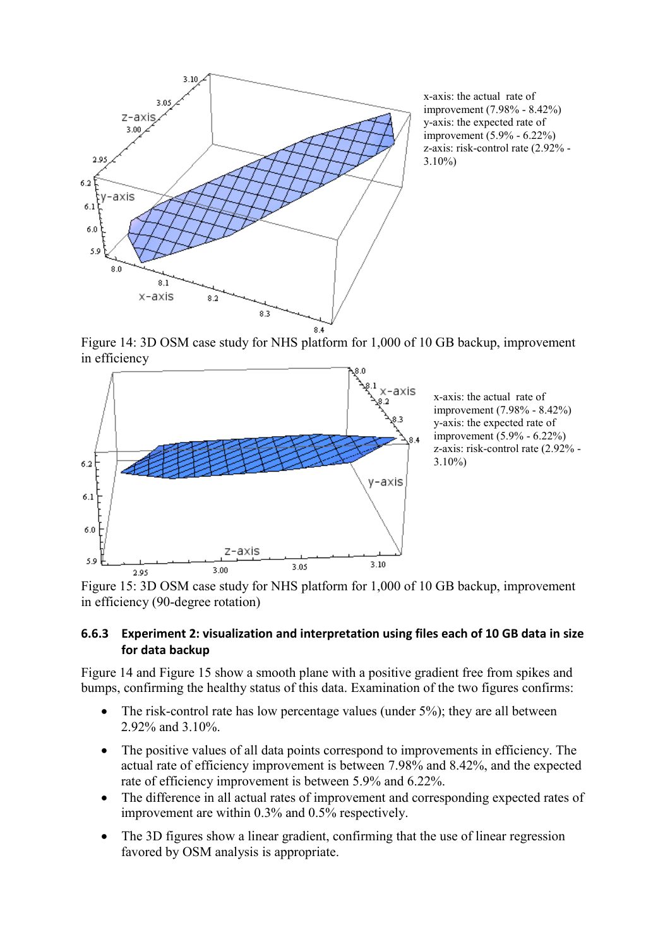

x-axis: the actual rate of improvement (7.98% - 8.42%) y-axis: the expected rate of improvement (5.9% - 6.22%) z-axis: risk-control rate (2.92% - 3.10%)

<span id="page-29-1"></span>Figure 14: 3D OSM case study for NHS platform for 1,000 of 10 GB backup, improvement in efficiency



<span id="page-29-0"></span>Figure 15: 3D OSM case study for NHS platform for 1,000 of 10 GB backup, improvement in efficiency (90-degree rotation)

#### **6.6.3 Experiment 2: visualization and interpretation using files each of 10 GB data in size for data backup**

[Figure 14](#page-29-1) and [Figure 15](#page-29-0) show a smooth plane with a positive gradient free from spikes and bumps, confirming the healthy status of this data. Examination of the two figures confirms:

- The risk-control rate has low percentage values (under 5%); they are all between 2.92% and 3.10%.
- The positive values of all data points correspond to improvements in efficiency. The actual rate of efficiency improvement is between 7.98% and 8.42%, and the expected rate of efficiency improvement is between 5.9% and 6.22%.
- The difference in all actual rates of improvement and corresponding expected rates of improvement are within 0.3% and 0.5% respectively.
- The 3D figures show a linear gradient, confirming that the use of linear regression favored by OSM analysis is appropriate.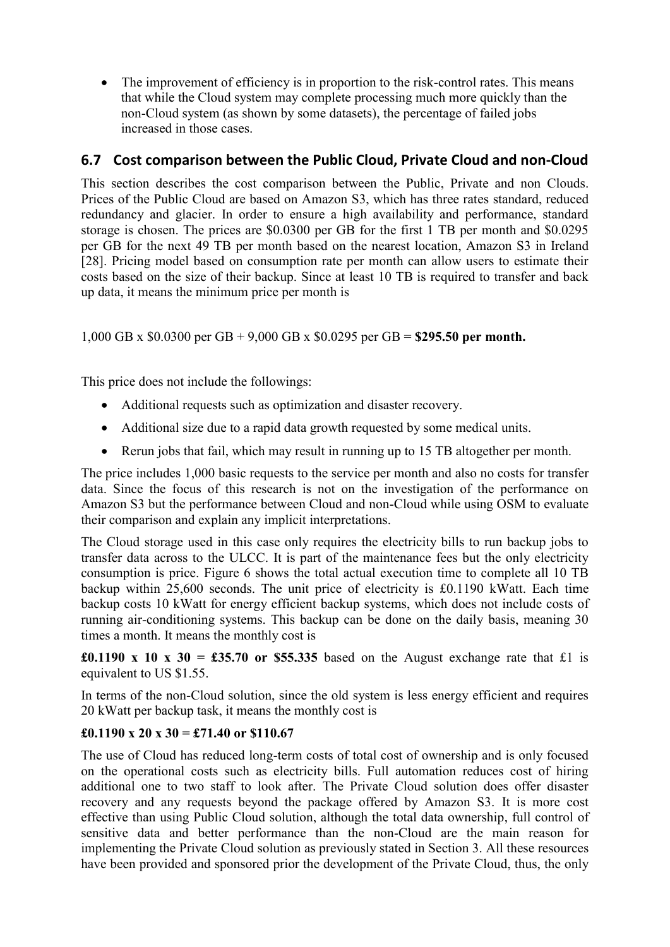• The improvement of efficiency is in proportion to the risk-control rates. This means that while the Cloud system may complete processing much more quickly than the non-Cloud system (as shown by some datasets), the percentage of failed jobs increased in those cases.

### **6.7 Cost comparison between the Public Cloud, Private Cloud and non-Cloud**

This section describes the cost comparison between the Public, Private and non Clouds. Prices of the Public Cloud are based on Amazon S3, which has three rates standard, reduced redundancy and glacier. In order to ensure a high availability and performance, standard storage is chosen. The prices are \$0.0300 per GB for the first 1 TB per month and \$0.0295 per GB for the next 49 TB per month based on the nearest location, Amazon S3 in Ireland [28]. Pricing model based on consumption rate per month can allow users to estimate their costs based on the size of their backup. Since at least 10 TB is required to transfer and back up data, it means the minimum price per month is

1,000 GB x \$0.0300 per GB + 9,000 GB x \$0.0295 per GB = **\$295.50 per month.**

This price does not include the followings:

- Additional requests such as optimization and disaster recovery.
- Additional size due to a rapid data growth requested by some medical units.
- Rerun jobs that fail, which may result in running up to 15 TB altogether per month.

The price includes 1,000 basic requests to the service per month and also no costs for transfer data. Since the focus of this research is not on the investigation of the performance on Amazon S3 but the performance between Cloud and non-Cloud while using OSM to evaluate their comparison and explain any implicit interpretations.

The Cloud storage used in this case only requires the electricity bills to run backup jobs to transfer data across to the ULCC. It is part of the maintenance fees but the only electricity consumption is price. [Figure 6](#page-21-1) shows the total actual execution time to complete all 10 TB backup within 25,600 seconds. The unit price of electricity is £0.1190 kWatt. Each time backup costs 10 kWatt for energy efficient backup systems, which does not include costs of running air-conditioning systems. This backup can be done on the daily basis, meaning 30 times a month. It means the monthly cost is

**£0.1190** x 10 x 30 =  $\text{\textsterling}35.70$  or \$55.335 based on the August exchange rate that £1 is equivalent to US \$1.55.

In terms of the non-Cloud solution, since the old system is less energy efficient and requires 20 kWatt per backup task, it means the monthly cost is

#### **£0.1190 x 20 x 30 = £71.40 or \$110.67**

The use of Cloud has reduced long-term costs of total cost of ownership and is only focused on the operational costs such as electricity bills. Full automation reduces cost of hiring additional one to two staff to look after. The Private Cloud solution does offer disaster recovery and any requests beyond the package offered by Amazon S3. It is more cost effective than using Public Cloud solution, although the total data ownership, full control of sensitive data and better performance than the non-Cloud are the main reason for implementing the Private Cloud solution as previously stated in Section 3. All these resources have been provided and sponsored prior the development of the Private Cloud, thus, the only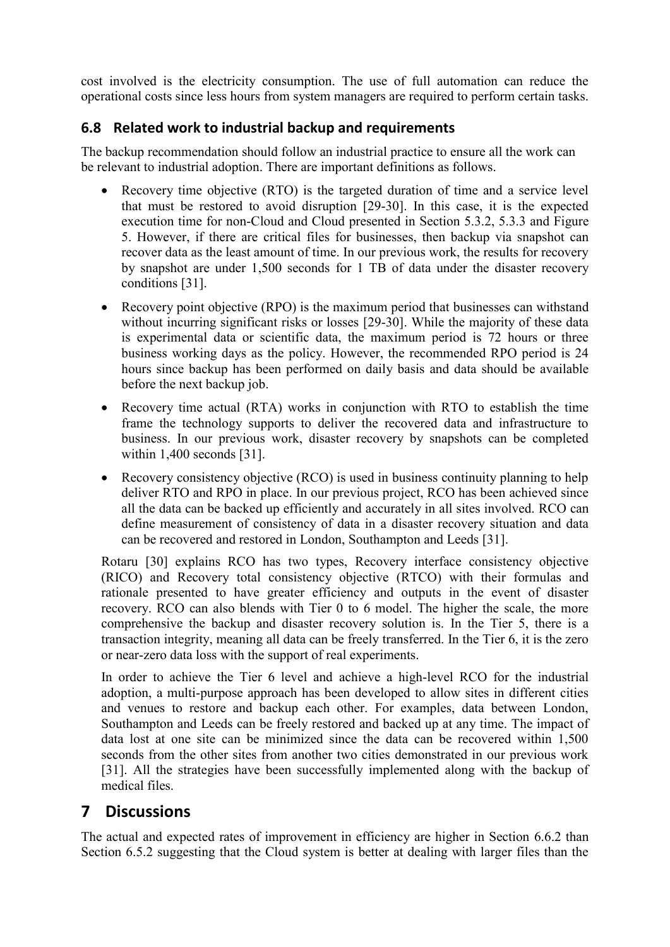cost involved is the electricity consumption. The use of full automation can reduce the operational costs since less hours from system managers are required to perform certain tasks.

### **6.8 Related work to industrial backup and requirements**

The backup recommendation should follow an industrial practice to ensure all the work can be relevant to industrial adoption. There are important definitions as follows.

- Recovery time objective (RTO) is the targeted duration of time and a service level that must be restored to avoid disruption [29-30]. In this case, it is the expected execution time for non-Cloud and Cloud presented in Section [5.3.2,](#page-19-0) [5.3.3](#page-19-1) and [Figure](#page-21-0)  [5.](#page-21-0) However, if there are critical files for businesses, then backup via snapshot can recover data as the least amount of time. In our previous work, the results for recovery by snapshot are under 1,500 seconds for 1 TB of data under the disaster recovery conditions [31].
- Recovery point objective (RPO) is the maximum period that businesses can withstand without incurring significant risks or losses [29-30]. While the majority of these data is experimental data or scientific data, the maximum period is 72 hours or three business working days as the policy. However, the recommended RPO period is 24 hours since backup has been performed on daily basis and data should be available before the next backup job.
- Recovery time actual (RTA) works in conjunction with RTO to establish the time frame the technology supports to deliver the recovered data and infrastructure to business. In our previous work, disaster recovery by snapshots can be completed within 1,400 seconds [31].
- Recovery consistency objective (RCO) is used in business continuity planning to help deliver RTO and RPO in place. In our previous project, RCO has been achieved since all the data can be backed up efficiently and accurately in all sites involved. RCO can define measurement of consistency of data in a disaster recovery situation and data can be recovered and restored in London, Southampton and Leeds [31].

Rotaru [30] explains RCO has two types, Recovery interface consistency objective (RICO) and Recovery total consistency objective (RTCO) with their formulas and rationale presented to have greater efficiency and outputs in the event of disaster recovery. RCO can also blends with Tier 0 to 6 model. The higher the scale, the more comprehensive the backup and disaster recovery solution is. In the Tier 5, there is a transaction integrity, meaning all data can be freely transferred. In the Tier 6, it is the zero or near-zero data loss with the support of real experiments.

In order to achieve the Tier 6 level and achieve a high-level RCO for the industrial adoption, a multi-purpose approach has been developed to allow sites in different cities and venues to restore and backup each other. For examples, data between London, Southampton and Leeds can be freely restored and backed up at any time. The impact of data lost at one site can be minimized since the data can be recovered within 1,500 seconds from the other sites from another two cities demonstrated in our previous work [31]. All the strategies have been successfully implemented along with the backup of medical files.

## **7 Discussions**

The actual and expected rates of improvement in efficiency are higher in Section [6.6.2](#page-28-1) than Section [6.5.2](#page-25-1) suggesting that the Cloud system is better at dealing with larger files than the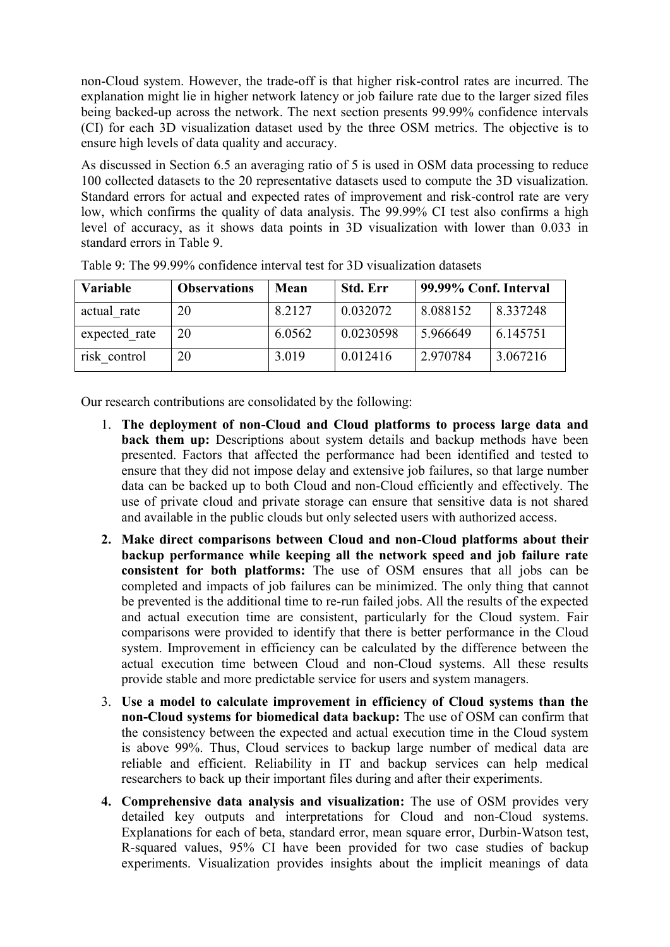non-Cloud system. However, the trade-off is that higher risk-control rates are incurred. The explanation might lie in higher network latency or job failure rate due to the larger sized files being backed-up across the network. The next section presents 99.99% confidence intervals (CI) for each 3D visualization dataset used by the three OSM metrics. The objective is to ensure high levels of data quality and accuracy.

As discussed in Section [6.5](#page-23-1) an averaging ratio of 5 is used in OSM data processing to reduce 100 collected datasets to the 20 representative datasets used to compute the 3D visualization. Standard errors for actual and expected rates of improvement and risk-control rate are very low, which confirms the quality of data analysis. The 99.99% CI test also confirms a high level of accuracy, as it shows data points in 3D visualization with lower than 0.033 in standard errors in [Table 9.](#page-32-0)

| <b>Variable</b> | <b>Observations</b> | Mean   | <b>Std. Err</b> | 99.99% Conf. Interval |          |
|-----------------|---------------------|--------|-----------------|-----------------------|----------|
| actual rate     | 20                  | 8.2127 | 0.032072        | 8.088152              | 8.337248 |
| expected rate   | 20                  | 6.0562 | 0.0230598       | 5.966649              | 6.145751 |
| risk control    | 20                  | 3.019  | 0.012416        | 2.970784              | 3.067216 |

<span id="page-32-0"></span>Table 9: The 99.99% confidence interval test for 3D visualization datasets

Our research contributions are consolidated by the following:

- 1. **The deployment of non-Cloud and Cloud platforms to process large data and back them up:** Descriptions about system details and backup methods have been presented. Factors that affected the performance had been identified and tested to ensure that they did not impose delay and extensive job failures, so that large number data can be backed up to both Cloud and non-Cloud efficiently and effectively. The use of private cloud and private storage can ensure that sensitive data is not shared and available in the public clouds but only selected users with authorized access.
- **2. Make direct comparisons between Cloud and non-Cloud platforms about their backup performance while keeping all the network speed and job failure rate consistent for both platforms:** The use of OSM ensures that all jobs can be completed and impacts of job failures can be minimized. The only thing that cannot be prevented is the additional time to re-run failed jobs. All the results of the expected and actual execution time are consistent, particularly for the Cloud system. Fair comparisons were provided to identify that there is better performance in the Cloud system. Improvement in efficiency can be calculated by the difference between the actual execution time between Cloud and non-Cloud systems. All these results provide stable and more predictable service for users and system managers.
- 3. **Use a model to calculate improvement in efficiency of Cloud systems than the non-Cloud systems for biomedical data backup:** The use of OSM can confirm that the consistency between the expected and actual execution time in the Cloud system is above 99%. Thus, Cloud services to backup large number of medical data are reliable and efficient. Reliability in IT and backup services can help medical researchers to back up their important files during and after their experiments.
- **4. Comprehensive data analysis and visualization:** The use of OSM provides very detailed key outputs and interpretations for Cloud and non-Cloud systems. Explanations for each of beta, standard error, mean square error, Durbin-Watson test, R-squared values, 95% CI have been provided for two case studies of backup experiments. Visualization provides insights about the implicit meanings of data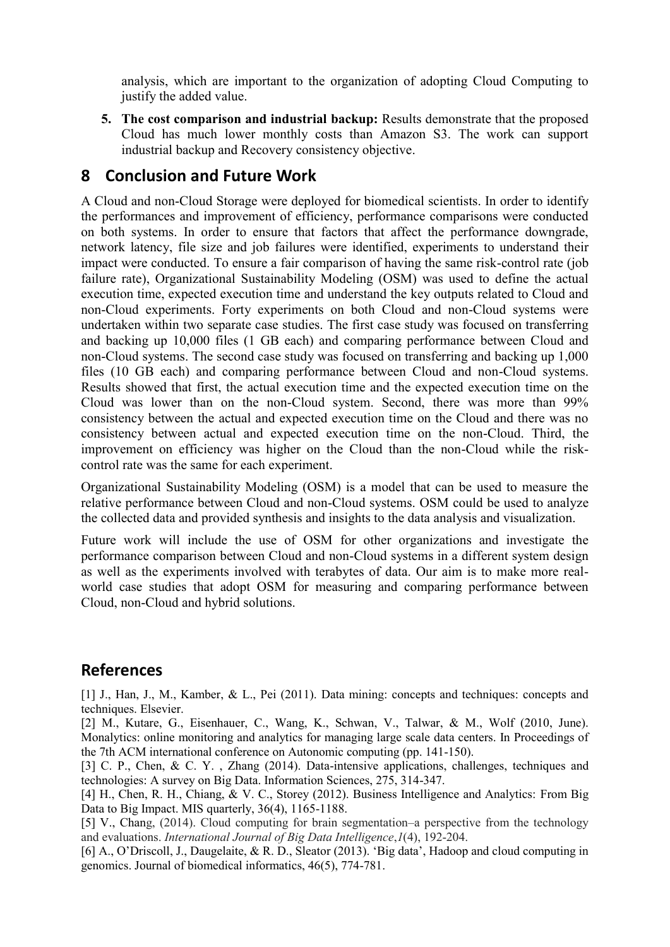analysis, which are important to the organization of adopting Cloud Computing to justify the added value.

**5. The cost comparison and industrial backup:** Results demonstrate that the proposed Cloud has much lower monthly costs than Amazon S3. The work can support industrial backup and Recovery consistency objective.

## **8 Conclusion and Future Work**

A Cloud and non-Cloud Storage were deployed for biomedical scientists. In order to identify the performances and improvement of efficiency, performance comparisons were conducted on both systems. In order to ensure that factors that affect the performance downgrade, network latency, file size and job failures were identified, experiments to understand their impact were conducted. To ensure a fair comparison of having the same risk-control rate (job failure rate), Organizational Sustainability Modeling (OSM) was used to define the actual execution time, expected execution time and understand the key outputs related to Cloud and non-Cloud experiments. Forty experiments on both Cloud and non-Cloud systems were undertaken within two separate case studies. The first case study was focused on transferring and backing up 10,000 files (1 GB each) and comparing performance between Cloud and non-Cloud systems. The second case study was focused on transferring and backing up 1,000 files (10 GB each) and comparing performance between Cloud and non-Cloud systems. Results showed that first, the actual execution time and the expected execution time on the Cloud was lower than on the non-Cloud system. Second, there was more than 99% consistency between the actual and expected execution time on the Cloud and there was no consistency between actual and expected execution time on the non-Cloud. Third, the improvement on efficiency was higher on the Cloud than the non-Cloud while the riskcontrol rate was the same for each experiment.

Organizational Sustainability Modeling (OSM) is a model that can be used to measure the relative performance between Cloud and non-Cloud systems. OSM could be used to analyze the collected data and provided synthesis and insights to the data analysis and visualization.

Future work will include the use of OSM for other organizations and investigate the performance comparison between Cloud and non-Cloud systems in a different system design as well as the experiments involved with terabytes of data. Our aim is to make more realworld case studies that adopt OSM for measuring and comparing performance between Cloud, non-Cloud and hybrid solutions.

# **References**

[1] J., Han, J., M., Kamber, & L., Pei (2011). Data mining: concepts and techniques: concepts and techniques. Elsevier.

[2] M., Kutare, G., Eisenhauer, C., Wang, K., Schwan, V., Talwar, & M., Wolf (2010, June). Monalytics: online monitoring and analytics for managing large scale data centers. In Proceedings of the 7th ACM international conference on Autonomic computing (pp. 141-150).

[3] C. P., Chen, & C. Y., Zhang (2014). Data-intensive applications, challenges, techniques and technologies: A survey on Big Data. Information Sciences, 275, 314-347.

[4] H., Chen, R. H., Chiang, & V. C., Storey (2012). Business Intelligence and Analytics: From Big Data to Big Impact. MIS quarterly, 36(4), 1165-1188.

[5] V., Chang, (2014). Cloud computing for brain segmentation–a perspective from the technology and evaluations. *International Journal of Big Data Intelligence*,*1*(4), 192-204.

[6] A., O'Driscoll, J., Daugelaite, & R. D., Sleator (2013). 'Big data', Hadoop and cloud computing in genomics. Journal of biomedical informatics, 46(5), 774-781.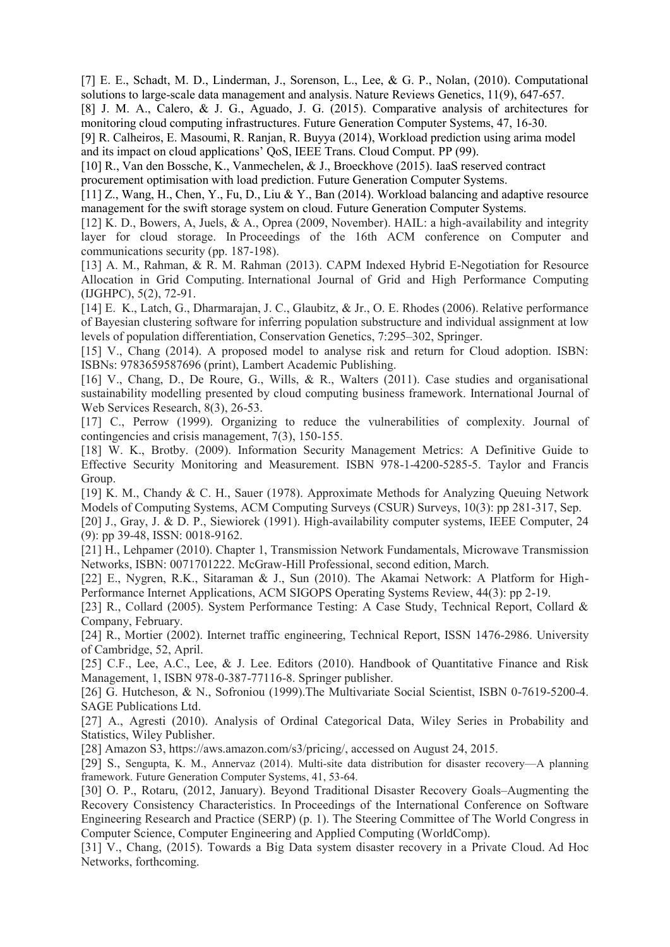[7] E. E., Schadt, M. D., Linderman, J., Sorenson, L., Lee, & G. P., Nolan, (2010). Computational solutions to large-scale data management and analysis. Nature Reviews Genetics, 11(9), 647-657.

[8] J. M. A., Calero, & J. G., Aguado, J. G. (2015). Comparative analysis of architectures for monitoring cloud computing infrastructures. Future Generation Computer Systems, 47, 16-30.

[9] R. Calheiros, E. Masoumi, R. Ranjan, R. Buyya (2014), Workload prediction using arima model and its impact on cloud applications' QoS, IEEE Trans. Cloud Comput. PP (99).

[10] R., Van den Bossche, K., Vanmechelen, & J., Broeckhove (2015). IaaS reserved contract procurement optimisation with load prediction. Future Generation Computer Systems.

[11] Z., Wang, H., Chen, Y., Fu, D., Liu & Y., Ban (2014). Workload balancing and adaptive resource management for the swift storage system on cloud. Future Generation Computer Systems.

[12] K. D., Bowers, A, Juels, & A., Oprea (2009, November). HAIL: a high-availability and integrity layer for cloud storage. In Proceedings of the 16th ACM conference on Computer and communications security (pp. 187-198).

[13] A. M., Rahman, & R. M. Rahman (2013). CAPM Indexed Hybrid E-Negotiation for Resource Allocation in Grid Computing. International Journal of Grid and High Performance Computing (IJGHPC), 5(2), 72-91.

[14] E. K., Latch, G., Dharmarajan, J. C., Glaubitz, & Jr., O. E. Rhodes (2006). Relative performance of Bayesian clustering software for inferring population substructure and individual assignment at low levels of population differentiation, Conservation Genetics, 7:295–302, Springer.

[15] V., Chang (2014). A proposed model to analyse risk and return for Cloud adoption. ISBN: ISBNs: 9783659587696 (print), Lambert Academic Publishing.

[16] V., Chang, D., De Roure, G., Wills, & R., Walters (2011). Case studies and organisational sustainability modelling presented by cloud computing business framework. International Journal of Web Services Research, 8(3), 26-53.

[17] C., Perrow (1999). Organizing to reduce the vulnerabilities of complexity. Journal of contingencies and crisis management, 7(3), 150-155.

[18] W. K., Brotby. (2009). Information Security Management Metrics: A Definitive Guide to Effective Security Monitoring and Measurement. ISBN 978-1-4200-5285-5. Taylor and Francis Group.

[19] K. M., Chandy & C. H., Sauer (1978). Approximate Methods for Analyzing Queuing Network Models of Computing Systems, ACM Computing Surveys (CSUR) Surveys, 10(3): pp 281-317, Sep.

[20] J., Gray, J. & D. P., Siewiorek (1991). High-availability computer systems, IEEE Computer, 24 (9): pp 39-48, ISSN: 0018-9162.

[21] H., Lehpamer (2010). Chapter 1, Transmission Network Fundamentals, Microwave Transmission Networks, ISBN: 0071701222. McGraw-Hill Professional, second edition, March.

[22] E., Nygren, R.K., Sitaraman & J., Sun (2010). The Akamai Network: A Platform for High-Performance Internet Applications, ACM SIGOPS Operating Systems Review, 44(3): pp 2-19.

[23] R., Collard (2005). System Performance Testing: A Case Study, Technical Report, Collard & Company, February.

[24] R., Mortier (2002). Internet traffic engineering, Technical Report, ISSN 1476-2986. University of Cambridge, 52, April.

[25] C.F., Lee, A.C., Lee, & J. Lee. Editors (2010). Handbook of Quantitative Finance and Risk Management, 1, ISBN 978-0-387-77116-8. Springer publisher.

[26] G. Hutcheson, & N., Sofroniou (1999).The Multivariate Social Scientist, ISBN 0-7619-5200-4. SAGE Publications Ltd.

[27] A., Agresti (2010). Analysis of Ordinal Categorical Data, Wiley Series in Probability and Statistics, Wiley Publisher.

[28] Amazon S3, https://aws.amazon.com/s3/pricing/, accessed on August 24, 2015.

[29] S., Sengupta, K. M., Annervaz (2014). Multi-site data distribution for disaster recovery—A planning framework. Future Generation Computer Systems, 41, 53-64.

[30] O. P., Rotaru, (2012, January). Beyond Traditional Disaster Recovery Goals–Augmenting the Recovery Consistency Characteristics. In Proceedings of the International Conference on Software Engineering Research and Practice (SERP) (p. 1). The Steering Committee of The World Congress in Computer Science, Computer Engineering and Applied Computing (WorldComp).

[31] V., Chang, (2015). Towards a Big Data system disaster recovery in a Private Cloud. Ad Hoc Networks, forthcoming.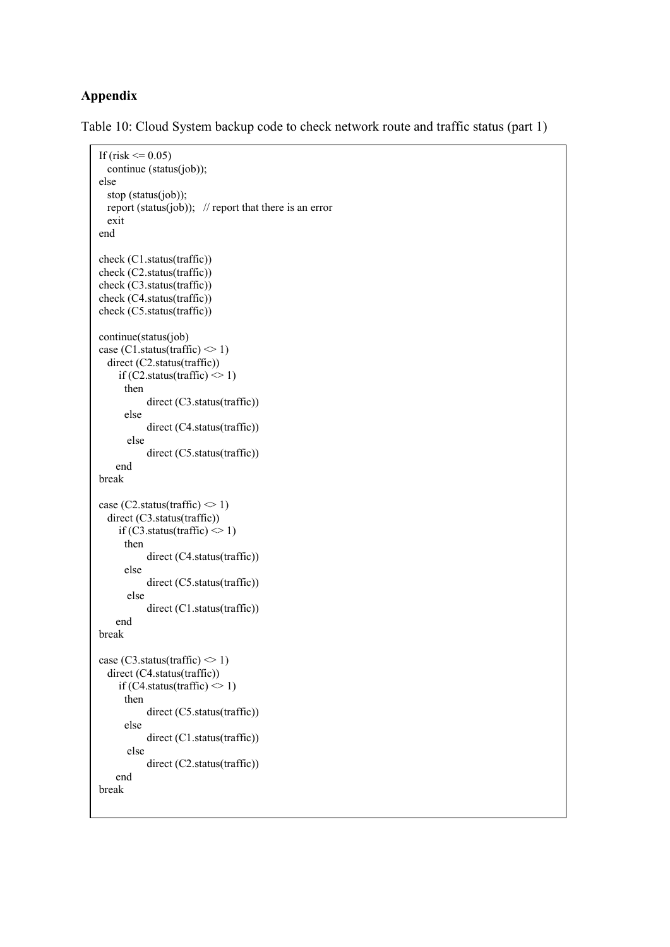#### **Appendix**

<span id="page-35-0"></span>Table 10: Cloud System backup code to check network route and traffic status (part 1)

```
If (risk \leq 0.05)
   continue (status(job));
else
   stop (status(job));
  report (status(job)); \theta report that there is an error
   exit
end
check (C1.status(traffic)) 
check (C2.status(traffic)) 
check (C3.status(traffic)) 
check (C4.status(traffic)) 
check (C5.status(traffic)) 
continue(status(job)
case (C1.status(traffic) \leq 1)
   direct (C2.status(traffic))
     if (C2.status(traffic) \leq 1)
       then 
             direct (C3.status(traffic)) 
       else
             direct (C4.status(traffic))
        else
             direct (C5.status(traffic))
     end
break
case (C2.status(traffic) \leq 1)
   direct (C3.status(traffic))
     if (C3.status(traffic) \leq 1)
       then 
             direct (C4.status(traffic)) 
       else
             direct (C5.status(traffic))
        else
             direct (C1.status(traffic))
     end
break
case (C3.status(traffic) \leq 1)
   direct (C4.status(traffic))
     if (C4.status(traffic) \leq 1)
       then 
             direct (C5.status(traffic)) 
       else
             direct (C1.status(traffic))
        else
             direct (C2.status(traffic))
     end
break
```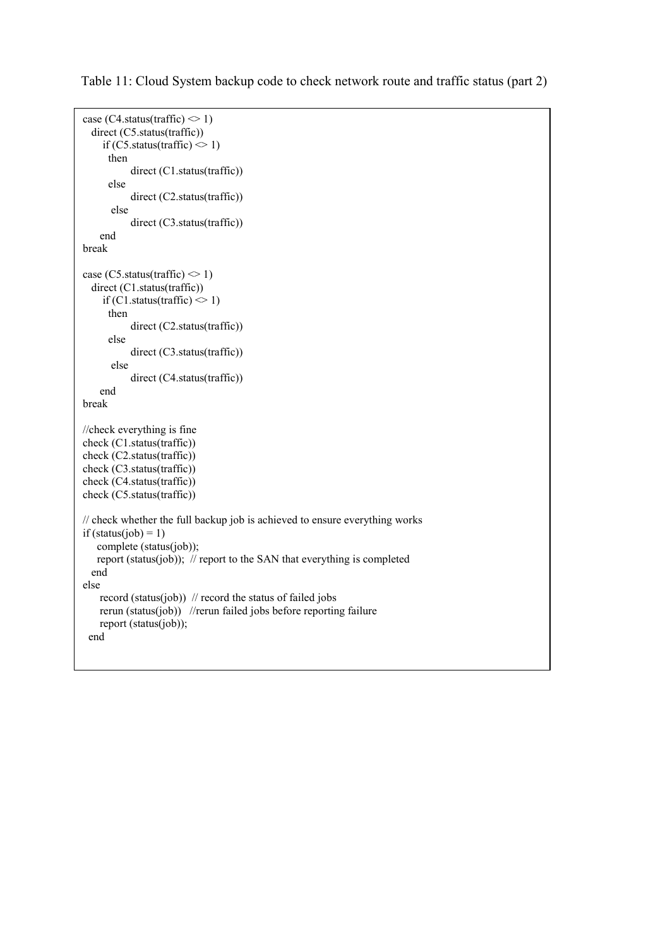```
case (C4.status(traffic) \leq 1)
   direct (C5.status(traffic))
     if (C5.status(traffic) \leq 1)
       then 
            direct (C1.status(traffic)) 
       else
            direct (C2.status(traffic))
       else
            direct (C3.status(traffic))
     end
break
case (C5.status(traffic) \leq 1)
   direct (C1.status(traffic))
     if (C1.status(traffic) \leq 1)
       then 
            direct (C2.status(traffic)) 
       else
            direct (C3.status(traffic))
       else
            direct (C4.status(traffic))
     end
break
//check everything is fine
check (C1.status(traffic)) 
check (C2.status(traffic)) 
check (C3.status(traffic)) 
check (C4.status(traffic)) 
check (C5.status(traffic)) 
// check whether the full backup job is achieved to ensure everything works
if (status(job) = 1)
    complete (status(job));
    report (status(job)); // report to the SAN that everything is completed
   end
else
    record (status(job)) \pi record the status of failed jobs
     rerun (status(job)) //rerun failed jobs before reporting failure
     report (status(job)); 
  end
```
<span id="page-36-0"></span>Table 11: Cloud System backup code to check network route and traffic status (part 2)